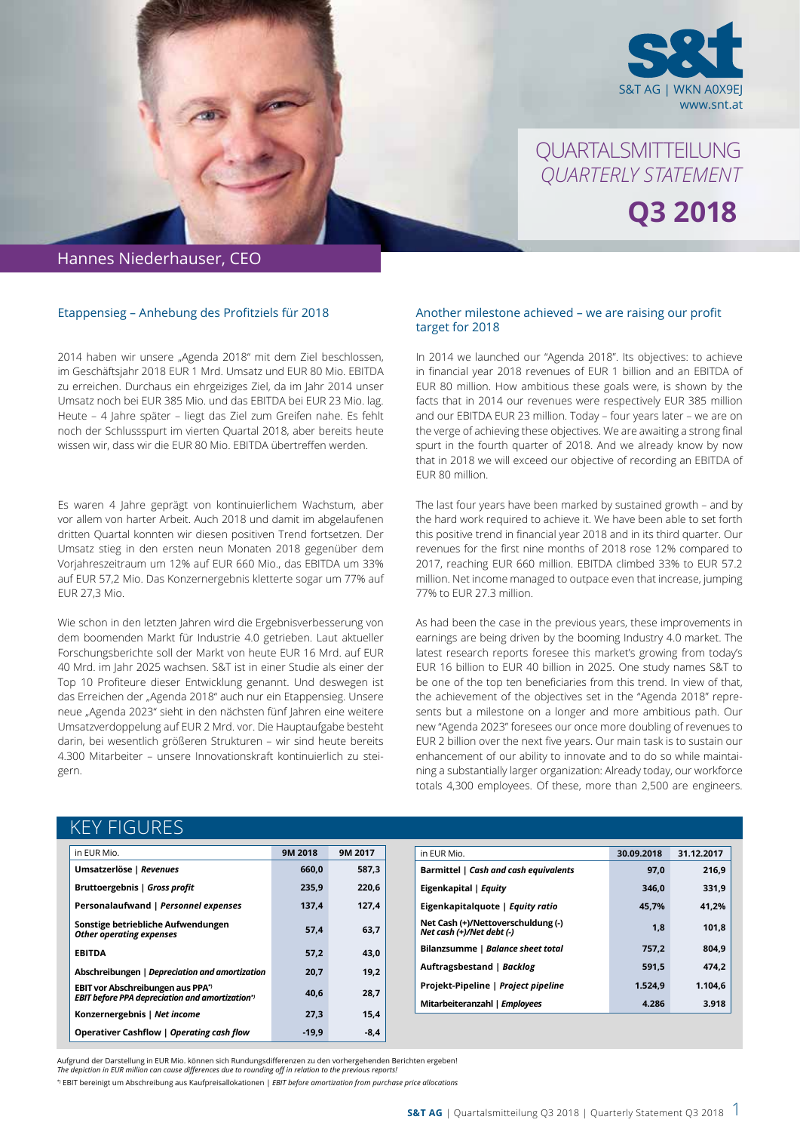

# QUARTALSMITTEILUNG *QUARTERLY STATEMENT* **Q3 2018**

# Hannes Niederhauser, CEO

## Etappensieg – Anhebung des Profitziels für 2018

2014 haben wir unsere "Agenda 2018" mit dem Ziel beschlossen, im Geschäftsjahr 2018 EUR 1 Mrd. Umsatz und EUR 80 Mio. EBITDA zu erreichen. Durchaus ein ehrgeiziges Ziel, da im Jahr 2014 unser Umsatz noch bei EUR 385 Mio. und das EBITDA bei EUR 23 Mio. lag. Heute – 4 Jahre später – liegt das Ziel zum Greifen nahe. Es fehlt noch der Schlussspurt im vierten Quartal 2018, aber bereits heute wissen wir, dass wir die EUR 80 Mio. EBITDA übertreffen werden.

Es waren 4 Jahre geprägt von kontinuierlichem Wachstum, aber vor allem von harter Arbeit. Auch 2018 und damit im abgelaufenen dritten Quartal konnten wir diesen positiven Trend fortsetzen. Der Umsatz stieg in den ersten neun Monaten 2018 gegenüber dem Vorjahreszeitraum um 12% auf EUR 660 Mio., das EBITDA um 33% auf EUR 57,2 Mio. Das Konzernergebnis kletterte sogar um 77% auf EUR 27,3 Mio.

Wie schon in den letzten Jahren wird die Ergebnisverbesserung von dem boomenden Markt für Industrie 4.0 getrieben. Laut aktueller Forschungsberichte soll der Markt von heute EUR 16 Mrd. auf EUR 40 Mrd. im Jahr 2025 wachsen. S&T ist in einer Studie als einer der Top 10 Profiteure dieser Entwicklung genannt. Und deswegen ist das Erreichen der "Agenda 2018" auch nur ein Etappensieg. Unsere neue "Agenda 2023" sieht in den nächsten fünf Jahren eine weitere Umsatzverdoppelung auf EUR 2 Mrd. vor. Die Hauptaufgabe besteht darin, bei wesentlich größeren Strukturen – wir sind heute bereits 4.300 Mitarbeiter – unsere Innovationskraft kontinuierlich zu steigern.

#### Another milestone achieved – we are raising our profit target for 2018

In 2014 we launched our "Agenda 2018". Its objectives: to achieve in financial year 2018 revenues of EUR 1 billion and an EBITDA of EUR 80 million. How ambitious these goals were, is shown by the facts that in 2014 our revenues were respectively EUR 385 million and our EBITDA EUR 23 million. Today – four years later – we are on the verge of achieving these objectives. We are awaiting a strong final spurt in the fourth quarter of 2018. And we already know by now that in 2018 we will exceed our objective of recording an EBITDA of EUR 80 million.

The last four years have been marked by sustained growth – and by the hard work required to achieve it. We have been able to set forth this positive trend in financial year 2018 and in its third quarter. Our revenues for the first nine months of 2018 rose 12% compared to 2017, reaching EUR 660 million. EBITDA climbed 33% to EUR 57.2 million. Net income managed to outpace even that increase, jumping 77% to EUR 27.3 million.

As had been the case in the previous years, these improvements in earnings are being driven by the booming Industry 4.0 market. The latest research reports foresee this market's growing from today's EUR 16 billion to EUR 40 billion in 2025. One study names S&T to be one of the top ten beneficiaries from this trend. In view of that, the achievement of the objectives set in the "Agenda 2018" represents but a milestone on a longer and more ambitious path. Our new "Agenda 2023" foresees our once more doubling of revenues to EUR 2 billion over the next five years. Our main task is to sustain our enhancement of our ability to innovate and to do so while maintaining a substantially larger organization: Already today, our workforce totals 4,300 employees. Of these, more than 2,500 are engineers.

# KEY FIGURES

| in EUR Mio.                                                           | 9M 2018 | 9M 2017 | in EUR Mio.                                                     | 30.09.2018 | 31.12.2017 |
|-----------------------------------------------------------------------|---------|---------|-----------------------------------------------------------------|------------|------------|
| Umsatzerlöse   Revenues                                               | 660,0   | 587,3   | Barmittel   Cash and cash equivalents                           | 97,0       | 216,9      |
| Bruttoergebnis   Gross profit                                         | 235,9   | 220,6   | Eigenkapital   Equity                                           | 346.0      | 331,9      |
| Personalaufwand   Personnel expenses                                  | 137,4   | 127,4   | Eigenkapitalquote   Equity ratio                                | 45,7%      | 41,2%      |
| Sonstige betriebliche Aufwendungen<br><b>Other operating expenses</b> | 57,4    | 63,7    | Net Cash (+)/Nettoverschuldung (-)<br>Net cash (+)/Net debt (-) | 1,8        | 101,8      |
| <b>EBITDA</b>                                                         | 57,2    | 43,0    | Bilanzsumme   Balance sheet total                               | 757,2      | 804,9      |
| Abschreibungen   Depreciation and amortization                        | 20,7    | 19,2    | Auftragsbestand   Backlog                                       | 591.5      | 474,2      |
| EBIT vor Abschreibungen aus PPA*)                                     | 40,6    | 28,7    | Projekt-Pipeline   Project pipeline                             | 1.524.9    | 1.104,6    |
| <b>EBIT before PPA depreciation and amortization</b> "                |         |         | Mitarbeiteranzahl   Employees                                   | 4.286      | 3.918      |
| Konzernergebnis   Net income                                          | 27,3    | 15,4    |                                                                 |            |            |
| Operativer Cashflow   Operating cash flow                             | $-19.9$ | $-8,4$  |                                                                 |            |            |

Aufgrund der Darstellung in EUR Mio. können sich Rundungsdifferenzen zu den vorhergehenden Berichten ergeben!

*The depiction in EUR million can cause differences due to rounding off in relation to the previous reports!*

\*) EBIT bereinigt um Abschreibung aus Kaufpreisallokationen *| EBIT before amortization from purchase price allocations*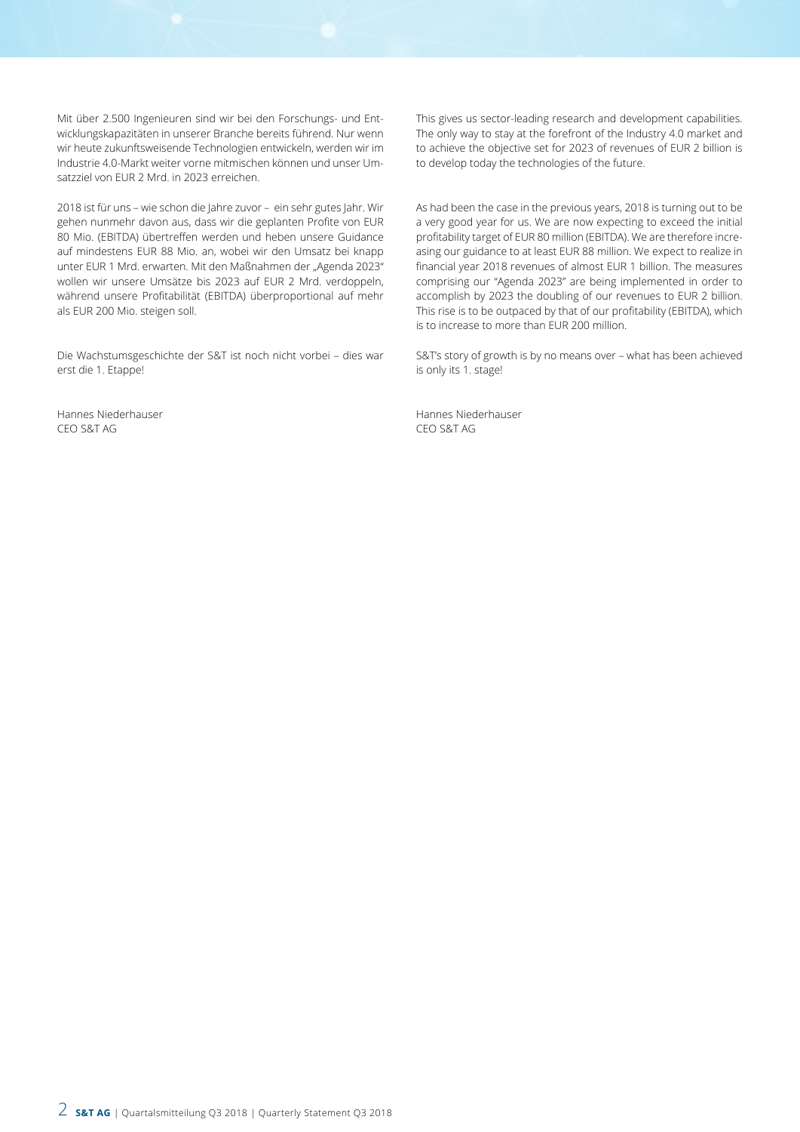Mit über 2.500 Ingenieuren sind wir bei den Forschungs- und Entwicklungskapazitäten in unserer Branche bereits führend. Nur wenn wir heute zukunftsweisende Technologien entwickeln, werden wir im Industrie 4.0-Markt weiter vorne mitmischen können und unser Umsatzziel von EUR 2 Mrd. in 2023 erreichen.

2018 ist für uns – wie schon die Jahre zuvor – ein sehr gutes Jahr. Wir gehen nunmehr davon aus, dass wir die geplanten Profite von EUR 80 Mio. (EBITDA) übertreffen werden und heben unsere Guidance auf mindestens EUR 88 Mio. an, wobei wir den Umsatz bei knapp unter EUR 1 Mrd. erwarten. Mit den Maßnahmen der "Agenda 2023" wollen wir unsere Umsätze bis 2023 auf EUR 2 Mrd. verdoppeln, während unsere Profitabilität (EBITDA) überproportional auf mehr als EUR 200 Mio. steigen soll.

Die Wachstumsgeschichte der S&T ist noch nicht vorbei – dies war erst die 1. Etappe!

Hannes Niederhauser CEO S&T AG

This gives us sector-leading research and development capabilities. The only way to stay at the forefront of the Industry 4.0 market and to achieve the objective set for 2023 of revenues of EUR 2 billion is to develop today the technologies of the future.

As had been the case in the previous years, 2018 is turning out to be a very good year for us. We are now expecting to exceed the initial profitability target of EUR 80 million (EBITDA). We are therefore increasing our guidance to at least EUR 88 million. We expect to realize in financial year 2018 revenues of almost EUR 1 billion. The measures comprising our "Agenda 2023" are being implemented in order to accomplish by 2023 the doubling of our revenues to EUR 2 billion. This rise is to be outpaced by that of our profitability (EBITDA), which is to increase to more than EUR 200 million.

S&T's story of growth is by no means over – what has been achieved is only its 1. stage!

Hannes Niederhauser CEO S&T AG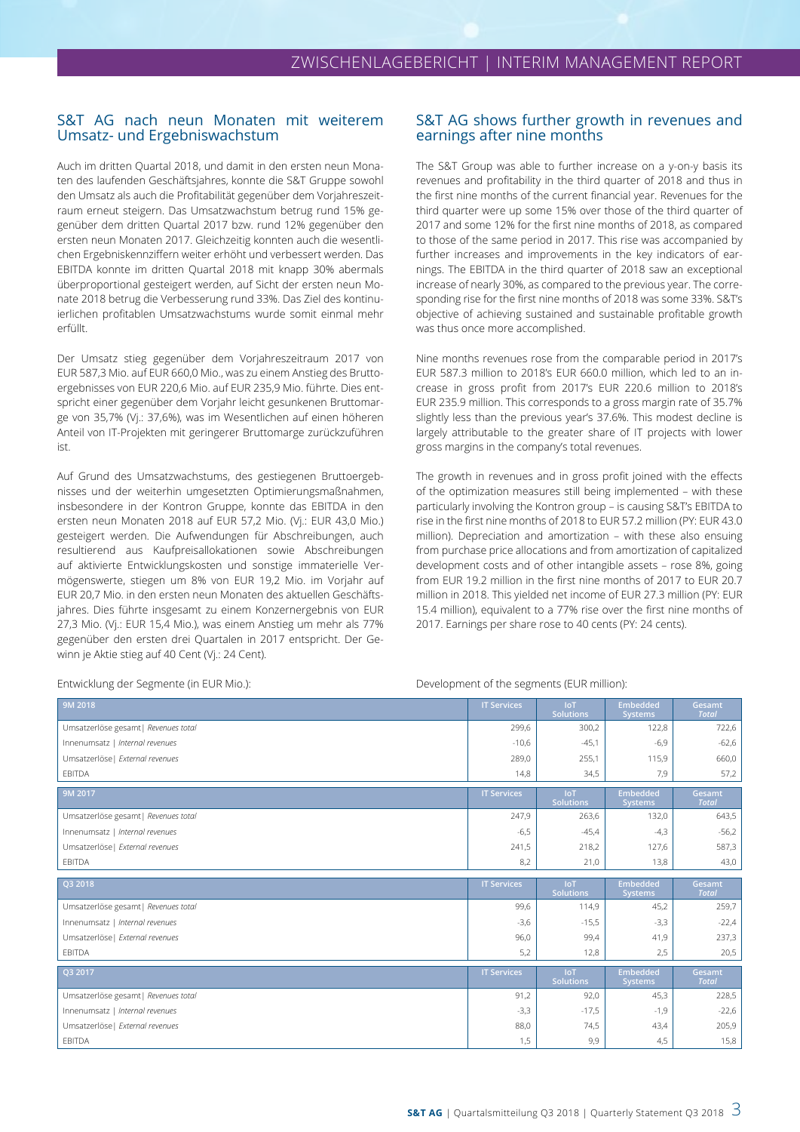## S&T AG nach neun Monaten mit weiterem Umsatz- und Ergebniswachstum

Auch im dritten Quartal 2018, und damit in den ersten neun Monaten des laufenden Geschäftsjahres, konnte die S&T Gruppe sowohl den Umsatz als auch die Profitabilität gegenüber dem Vorjahreszeitraum erneut steigern. Das Umsatzwachstum betrug rund 15% gegenüber dem dritten Quartal 2017 bzw. rund 12% gegenüber den ersten neun Monaten 2017. Gleichzeitig konnten auch die wesentlichen Ergebniskennziffern weiter erhöht und verbessert werden. Das EBITDA konnte im dritten Quartal 2018 mit knapp 30% abermals überproportional gesteigert werden, auf Sicht der ersten neun Monate 2018 betrug die Verbesserung rund 33%. Das Ziel des kontinuierlichen profitablen Umsatzwachstums wurde somit einmal mehr erfüllt.

Der Umsatz stieg gegenüber dem Vorjahreszeitraum 2017 von EUR 587,3 Mio. auf EUR 660,0 Mio., was zu einem Anstieg des Bruttoergebnisses von EUR 220,6 Mio. auf EUR 235,9 Mio. führte. Dies entspricht einer gegenüber dem Vorjahr leicht gesunkenen Bruttomarge von 35,7% (Vj.: 37,6%), was im Wesentlichen auf einen höheren Anteil von IT-Projekten mit geringerer Bruttomarge zurückzuführen ist.

Auf Grund des Umsatzwachstums, des gestiegenen Bruttoergebnisses und der weiterhin umgesetzten Optimierungsmaßnahmen, insbesondere in der Kontron Gruppe, konnte das EBITDA in den ersten neun Monaten 2018 auf EUR 57,2 Mio. (Vj.: EUR 43,0 Mio.) gesteigert werden. Die Aufwendungen für Abschreibungen, auch resultierend aus Kaufpreisallokationen sowie Abschreibungen auf aktivierte Entwicklungskosten und sonstige immaterielle Vermögenswerte, stiegen um 8% von EUR 19,2 Mio. im Vorjahr auf EUR 20,7 Mio. in den ersten neun Monaten des aktuellen Geschäftsjahres. Dies führte insgesamt zu einem Konzernergebnis von EUR 27,3 Mio. (Vj.: EUR 15,4 Mio.), was einem Anstieg um mehr als 77% gegenüber den ersten drei Quartalen in 2017 entspricht. Der Gewinn je Aktie stieg auf 40 Cent (Vj.: 24 Cent).

## S&T AG shows further growth in revenues and earnings after nine months

The S&T Group was able to further increase on a y-on-y basis its revenues and profitability in the third quarter of 2018 and thus in the first nine months of the current financial year. Revenues for the third quarter were up some 15% over those of the third quarter of 2017 and some 12% for the first nine months of 2018, as compared to those of the same period in 2017. This rise was accompanied by further increases and improvements in the key indicators of earnings. The EBITDA in the third quarter of 2018 saw an exceptional increase of nearly 30%, as compared to the previous year. The corresponding rise for the first nine months of 2018 was some 33%. S&T's objective of achieving sustained and sustainable profitable growth was thus once more accomplished.

Nine months revenues rose from the comparable period in 2017's EUR 587.3 million to 2018's EUR 660.0 million, which led to an increase in gross profit from 2017's EUR 220.6 million to 2018's EUR 235.9 million. This corresponds to a gross margin rate of 35.7% slightly less than the previous year's 37.6%. This modest decline is largely attributable to the greater share of IT projects with lower gross margins in the company's total revenues.

The growth in revenues and in gross profit joined with the effects of the optimization measures still being implemented – with these particularly involving the Kontron group – is causing S&T's EBITDA to rise in the first nine months of 2018 to EUR 57.2 million (PY: EUR 43.0 million). Depreciation and amortization – with these also ensuing from purchase price allocations and from amortization of capitalized development costs and of other intangible assets – rose 8%, going from EUR 19.2 million in the first nine months of 2017 to EUR 20.7 million in 2018. This yielded net income of EUR 27.3 million (PY: EUR 15.4 million), equivalent to a 77% rise over the first nine months of 2017. Earnings per share rose to 40 cents (PY: 24 cents).

Entwicklung der Segmente (in EUR Mio.):

Development of the segments (EUR million):

| 9M 2018                              | <b>IT Services</b> | IoT<br><b>Solutions</b>        | <b>Embedded</b><br>Systems | Gesamt<br><b>Total</b> |
|--------------------------------------|--------------------|--------------------------------|----------------------------|------------------------|
| Umsatzerlöse gesamt   Revenues total | 299.6              | 300,2                          | 122,8                      | 722,6                  |
| Innenumsatz   Internal revenues      | $-10.6$            | $-45.1$                        | $-6.9$                     | $-62,6$                |
| Umsatzerlöse   External revenues     | 289,0              | 255,1                          | 115,9                      | 660,0                  |
| <b>EBITDA</b>                        | 14,8               | 34,5                           | 7,9                        | 57,2                   |
| 9M 2017                              | <b>IT Services</b> | <b>IoT</b><br><b>Solutions</b> | <b>Embedded</b><br>Systems | Gesamt<br><b>Total</b> |
| Umsatzerlöse gesamt   Revenues total | 247.9              | 263,6                          | 132,0                      | 643,5                  |
| Innenumsatz   Internal revenues      | $-6,5$             | $-45,4$                        | $-4,3$                     | $-56,2$                |
| Umsatzerlöse   External revenues     | 241,5              | 218,2                          | 127,6                      | 587,3                  |
| <b>EBITDA</b>                        | 8,2                | 21,0                           | 13,8                       | 43,0                   |
| Q3 2018                              | <b>IT Services</b> | <b>IoT</b>                     | <b>Embedded</b>            | Gesamt                 |
|                                      |                    |                                |                            |                        |
|                                      |                    | <b>Solutions</b>               | <b>Systems</b>             | <b>Total</b>           |
| Umsatzerlöse gesamt   Revenues total | 99.6               | 114,9                          | 45,2                       | 259,7                  |
| Innenumsatz   Internal revenues      | $-3,6$             | $-15,5$                        | $-3,3$                     | $-22,4$                |
| Umsatzerlöse   External revenues     | 96,0               | 99,4                           | 41,9                       | 237,3                  |
| EBITDA                               | 5,2                | 12,8                           | 2,5                        | 20,5                   |
| Q3 2017                              | <b>IT Services</b> | <b>IoT</b><br><b>Solutions</b> | <b>Embedded</b><br>Systems | Gesamt<br><b>Total</b> |
| Umsatzerlöse gesamt   Revenues total | 91,2               | 92,0                           | 45,3                       | 228,5                  |
| Innenumsatz   Internal revenues      | $-3,3$             | $-17,5$                        | $-1,9$                     | $-22,6$                |
| Umsatzerlöse   External revenues     | 88,0               | 74,5                           | 43,4                       | 205,9                  |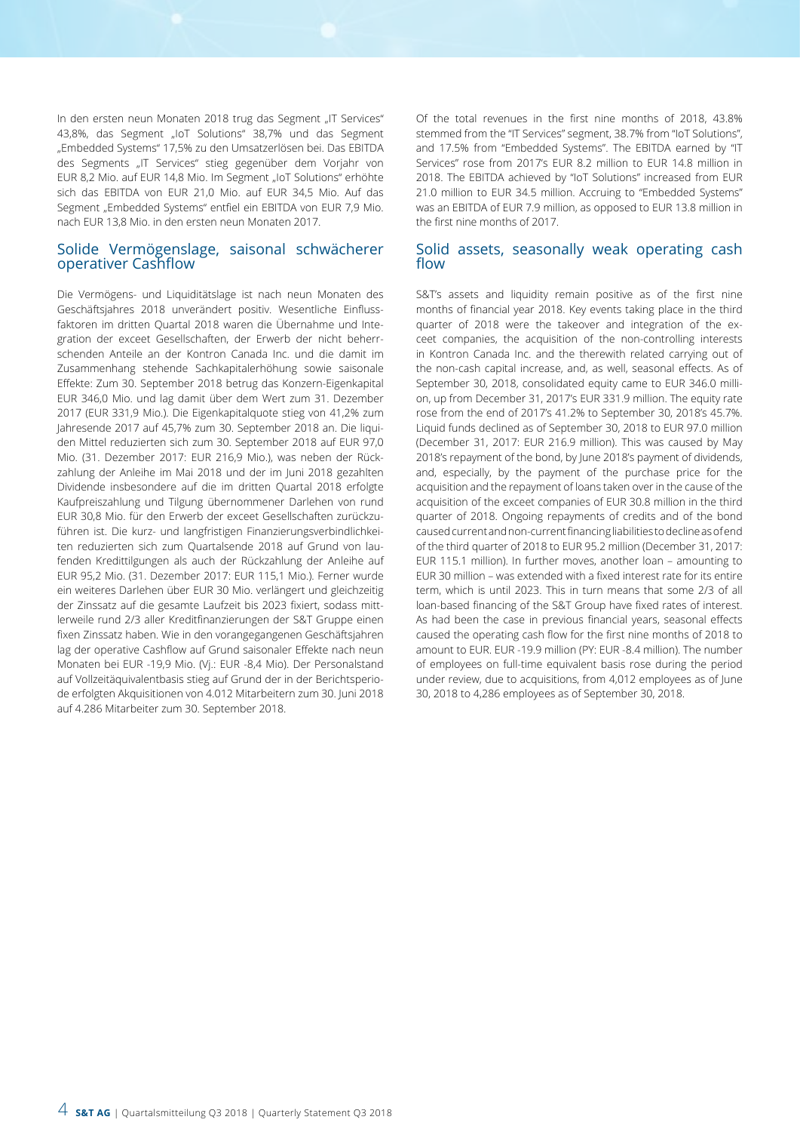In den ersten neun Monaten 2018 trug das Segment "IT Services" 43,8%, das Segment "IoT Solutions" 38,7% und das Segment "Embedded Systems" 17,5% zu den Umsatzerlösen bei. Das EBITDA des Segments "IT Services" stieg gegenüber dem Vorjahr von EUR 8.2 Mio. auf EUR 14.8 Mio. Im Segment "IoT Solutions" erhöhte sich das EBITDA von EUR 21,0 Mio. auf EUR 34,5 Mio. Auf das Segment "Embedded Systems" entfiel ein EBITDA von EUR 7,9 Mio. nach EUR 13,8 Mio. in den ersten neun Monaten 2017.

# Solide Vermögenslage, saisonal schwächerer operativer Cashflow

Die Vermögens- und Liquiditätslage ist nach neun Monaten des Geschäftsjahres 2018 unverändert positiv. Wesentliche Einflussfaktoren im dritten Quartal 2018 waren die Übernahme und Integration der exceet Gesellschaften, der Erwerb der nicht beherrschenden Anteile an der Kontron Canada Inc. und die damit im Zusammenhang stehende Sachkapitalerhöhung sowie saisonale Effekte: Zum 30. September 2018 betrug das Konzern-Eigenkapital EUR 346,0 Mio. und lag damit über dem Wert zum 31. Dezember 2017 (EUR 331,9 Mio.). Die Eigenkapitalquote stieg von 41,2% zum Jahresende 2017 auf 45,7% zum 30. September 2018 an. Die liquiden Mittel reduzierten sich zum 30. September 2018 auf EUR 97,0 Mio. (31. Dezember 2017: EUR 216,9 Mio.), was neben der Rückzahlung der Anleihe im Mai 2018 und der im Juni 2018 gezahlten Dividende insbesondere auf die im dritten Quartal 2018 erfolgte Kaufpreiszahlung und Tilgung übernommener Darlehen von rund EUR 30,8 Mio. für den Erwerb der exceet Gesellschaften zurückzuführen ist. Die kurz- und langfristigen Finanzierungsverbindlichkeiten reduzierten sich zum Quartalsende 2018 auf Grund von laufenden Kredittilgungen als auch der Rückzahlung der Anleihe auf EUR 95,2 Mio. (31. Dezember 2017: EUR 115,1 Mio.). Ferner wurde ein weiteres Darlehen über EUR 30 Mio. verlängert und gleichzeitig der Zinssatz auf die gesamte Laufzeit bis 2023 fixiert, sodass mittlerweile rund 2/3 aller Kreditfinanzierungen der S&T Gruppe einen fixen Zinssatz haben. Wie in den vorangegangenen Geschäftsjahren lag der operative Cashflow auf Grund saisonaler Effekte nach neun Monaten bei EUR -19,9 Mio. (Vj.: EUR -8,4 Mio). Der Personalstand auf Vollzeitäquivalentbasis stieg auf Grund der in der Berichtsperiode erfolgten Akquisitionen von 4.012 Mitarbeitern zum 30. Juni 2018 auf 4.286 Mitarbeiter zum 30. September 2018.

Of the total revenues in the first nine months of 2018, 43.8% stemmed from the "IT Services" segment, 38.7% from "IoT Solutions", and 17.5% from "Embedded Systems". The EBITDA earned by "IT Services" rose from 2017's EUR 8.2 million to EUR 14.8 million in 2018. The EBITDA achieved by "IoT Solutions" increased from EUR 21.0 million to EUR 34.5 million. Accruing to "Embedded Systems" was an EBITDA of EUR 7.9 million, as opposed to EUR 13.8 million in the first nine months of 2017.

## Solid assets, seasonally weak operating cash flow

S&T's assets and liquidity remain positive as of the first nine months of financial year 2018. Key events taking place in the third quarter of 2018 were the takeover and integration of the exceet companies, the acquisition of the non-controlling interests in Kontron Canada Inc. and the therewith related carrying out of the non-cash capital increase, and, as well, seasonal effects. As of September 30, 2018, consolidated equity came to EUR 346.0 million, up from December 31, 2017's EUR 331.9 million. The equity rate rose from the end of 2017's 41.2% to September 30, 2018's 45.7%. Liquid funds declined as of September 30, 2018 to EUR 97.0 million (December 31, 2017: EUR 216.9 million). This was caused by May 2018's repayment of the bond, by June 2018's payment of dividends, and, especially, by the payment of the purchase price for the acquisition and the repayment of loans taken over in the cause of the acquisition of the exceet companies of EUR 30.8 million in the third quarter of 2018. Ongoing repayments of credits and of the bond caused current and non-current financing liabilities to decline as of end of the third quarter of 2018 to EUR 95.2 million (December 31, 2017: EUR 115.1 million). In further moves, another loan – amounting to EUR 30 million – was extended with a fixed interest rate for its entire term, which is until 2023. This in turn means that some 2/3 of all loan-based financing of the S&T Group have fixed rates of interest. As had been the case in previous financial years, seasonal effects caused the operating cash flow for the first nine months of 2018 to amount to EUR. EUR -19.9 million (PY: EUR -8.4 million). The number of employees on full-time equivalent basis rose during the period under review, due to acquisitions, from 4,012 employees as of June 30, 2018 to 4,286 employees as of September 30, 2018.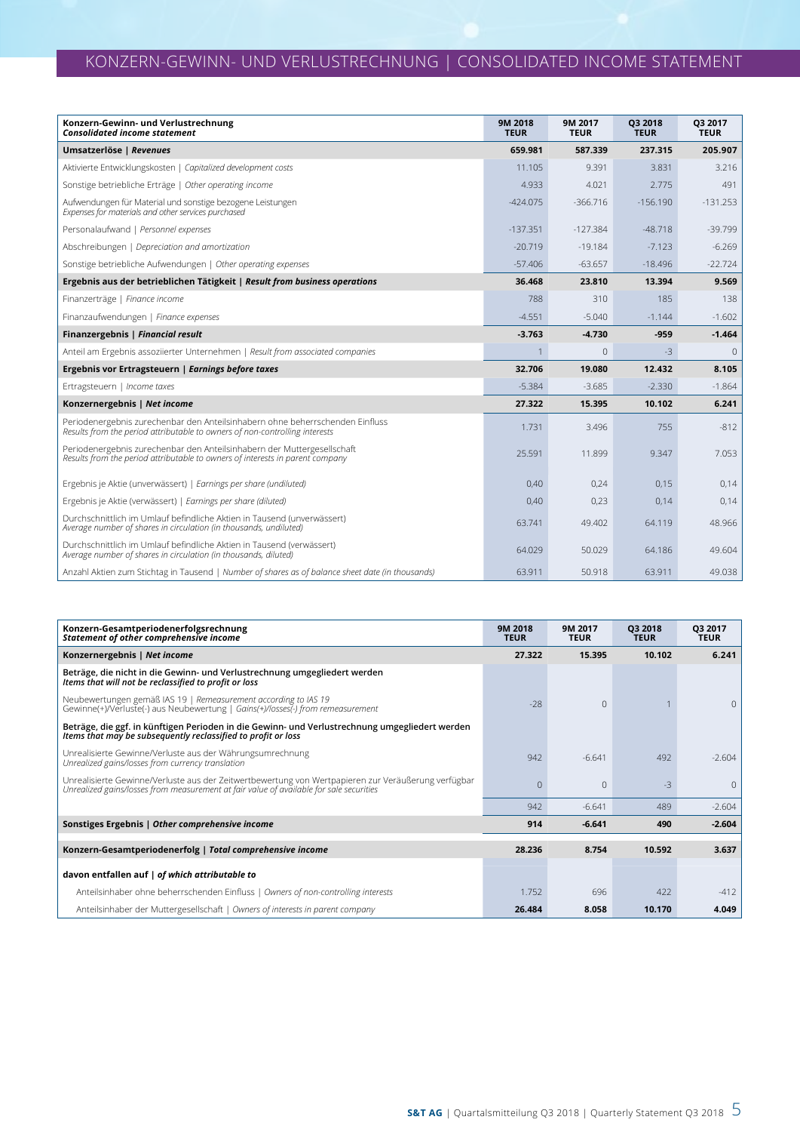# KONZERN-GEWINN- UND VERLUSTRECHNUNG | CONSOLIDATED INCOME STATEMENT

| Konzern-Gewinn- und Verlustrechnung<br><b>Consolidated income statement</b>                                                                                  | 9M 2018<br><b>TEUR</b> | 9M 2017<br><b>TEUR</b> | O3 2018<br><b>TEUR</b> | 03 2017<br><b>TEUR</b> |
|--------------------------------------------------------------------------------------------------------------------------------------------------------------|------------------------|------------------------|------------------------|------------------------|
| Umsatzerlöse   Revenues                                                                                                                                      | 659.981                | 587.339                | 237.315                | 205.907                |
| Aktivierte Entwicklungskosten   Capitalized development costs                                                                                                | 11.105                 | 9.391                  | 3.831                  | 3.216                  |
| Sonstige betriebliche Erträge   Other operating income                                                                                                       | 4.933                  | 4.021                  | 2.775                  | 491                    |
| Aufwendungen für Material und sonstige bezogene Leistungen<br>Expenses for materials and other services purchased                                            | $-424.075$             | $-366.716$             | $-156.190$             | $-131.253$             |
| Personalaufwand   Personnel expenses                                                                                                                         | $-137.351$             | $-127.384$             | $-48.718$              | $-39.799$              |
| Abschreibungen   Depreciation and amortization                                                                                                               | $-20.719$              | $-19.184$              | $-7.123$               | $-6.269$               |
| Sonstige betriebliche Aufwendungen   Other operating expenses                                                                                                | $-57.406$              | $-63.657$              | $-18.496$              | $-22.724$              |
| Ergebnis aus der betrieblichen Tätigkeit   Result from business operations                                                                                   | 36.468                 | 23.810                 | 13.394                 | 9.569                  |
| Finanzerträge   Finance income                                                                                                                               | 788                    | 310                    | 185                    | 138                    |
| Finanzaufwendungen   Finance expenses                                                                                                                        | $-4.551$               | $-5.040$               | $-1.144$               | $-1.602$               |
| Finanzergebnis   Financial result                                                                                                                            | $-3.763$               | $-4.730$               | $-959$                 | $-1.464$               |
| Anteil am Ergebnis assoziierter Unternehmen   Result from associated companies                                                                               |                        | $\mathbf{0}$           | $-3$                   | $\mathbf{0}$           |
| Ergebnis vor Ertragsteuern   Earnings before taxes                                                                                                           | 32.706                 | 19.080                 | 12.432                 | 8.105                  |
| Ertragsteuern   Income taxes                                                                                                                                 | $-5.384$               | $-3.685$               | $-2.330$               | $-1.864$               |
| Konzernergebnis   Net income                                                                                                                                 | 27.322                 | 15.395                 | 10.102                 | 6.241                  |
| Periodenergebnis zurechenbar den Anteilsinhabern ohne beherrschenden Einfluss<br>Results from the period attributable to owners of non-controlling interests | 1.731                  | 3.496                  | 755                    | $-812$                 |
| Periodenergebnis zurechenbar den Anteilsinhabern der Muttergesellschaft<br>Results from the period attributable to owners of interests in parent company     | 25.591                 | 11.899                 | 9.347                  | 7.053                  |
| Ergebnis je Aktie (unverwässert)   Earnings per share (undiluted)                                                                                            | 0.40                   | 0.24                   | 0,15                   | 0,14                   |
| Ergebnis je Aktie (verwässert)   Earnings per share (diluted)                                                                                                | 0,40                   | 0,23                   | 0,14                   | 0,14                   |
| Durchschnittlich im Umlauf befindliche Aktien in Tausend (unverwässert)<br>Average number of shares in circulation (in thousands, undiluted)                 | 63.741                 | 49.402                 | 64.119                 | 48.966                 |
| Durchschnittlich im Umlauf befindliche Aktien in Tausend (verwässert)<br>Average number of shares in circulation (in thousands, diluted)                     | 64.029                 | 50.029                 | 64.186                 | 49.604                 |
| Anzahl Aktien zum Stichtag in Tausend   Number of shares as of balance sheet date (in thousands)                                                             | 63.911                 | 50.918                 | 63.911                 | 49.038                 |

| Konzern-Gesamtperiodenerfolgsrechnung<br><b>Statement of other comprehensive income</b>                                                                                                        | 9M 2018<br><b>TEUR</b> | 9M 2017<br><b>TEUR</b> | 03 2018<br><b>TEUR</b> | 03 2017<br><b>TEUR</b> |
|------------------------------------------------------------------------------------------------------------------------------------------------------------------------------------------------|------------------------|------------------------|------------------------|------------------------|
| Konzernergebnis   Net income                                                                                                                                                                   | 27.322                 | 15.395                 | 10.102                 | 6.241                  |
| Beträge, die nicht in die Gewinn- und Verlustrechnung umgegliedert werden<br>Items that will not be reclassified to profit or loss                                                             |                        |                        |                        |                        |
| Neubewertungen gemäß IAS 19   Remeasurement according to IAS 19<br>Gewinne(+)/Verluste(-) aus Neubewertung   Gains(+)/losses(-) from remeasurement                                             | $-28$                  | $\Omega$               |                        | $\Omega$               |
| Beträge, die ggf. in künftigen Perioden in die Gewinn- und Verlustrechnung umgegliedert werden<br>Items that may be subsequently reclassified to profit or loss                                |                        |                        |                        |                        |
| Unrealisierte Gewinne/Verluste aus der Währungsumrechnung<br>Unrealized gains/losses from currency translation                                                                                 | 942                    | $-6.641$               | 492                    | $-2.604$               |
| Unrealisierte Gewinne/Verluste aus der Zeitwertbewertung von Wertpapieren zur Veräußerung verfügbar<br>Unrealized gains/losses from measurement at fair value of available for sale securities | $\Omega$               | $\Omega$               | $-3$                   | $\Omega$               |
|                                                                                                                                                                                                | 942                    | $-6.641$               | 489                    | $-2.604$               |
| Sonstiges Ergebnis   Other comprehensive income                                                                                                                                                | 914                    | $-6.641$               | 490                    | $-2.604$               |
| Konzern-Gesamtperiodenerfolg   Total comprehensive income                                                                                                                                      | 28.236                 | 8.754                  | 10.592                 | 3.637                  |
| davon entfallen auf   of which attributable to                                                                                                                                                 |                        |                        |                        |                        |
| Anteilsinhaber ohne beherrschenden Einfluss   Owners of non-controlling interests                                                                                                              | 1.752                  | 696                    | 422                    | $-412$                 |
| Anteilsinhaber der Muttergesellschaft   Owners of interests in parent company                                                                                                                  | 26.484                 | 8.058                  | 10.170                 | 4.049                  |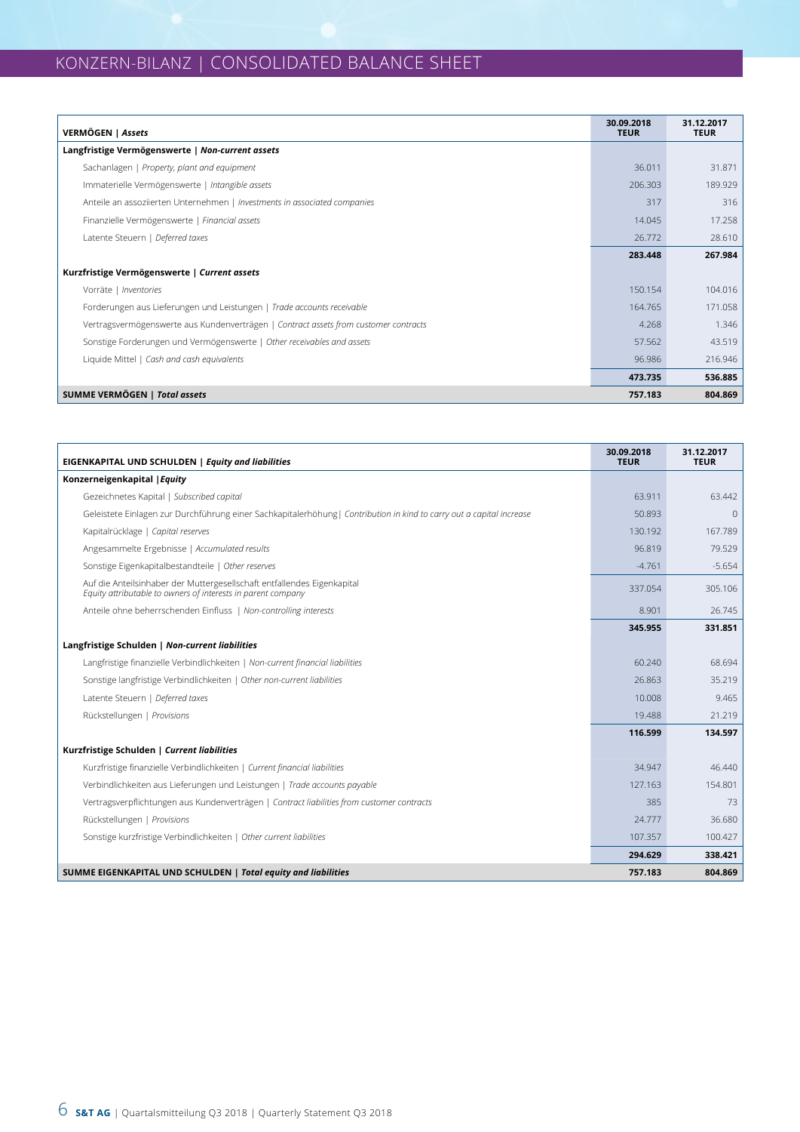# KONZERN-BILANZ | CONSOLIDATED BALANCE SHEET

| VERMÖGEN   Assets                                                                    | 30.09.2018<br><b>TEUR</b> | 31.12.2017<br><b>TEUR</b> |
|--------------------------------------------------------------------------------------|---------------------------|---------------------------|
| Langfristige Vermögenswerte   Non-current assets                                     |                           |                           |
| Sachanlagen   Property, plant and equipment                                          | 36.011                    | 31.871                    |
| Immaterielle Vermögenswerte   Intangible assets                                      | 206.303                   | 189.929                   |
| Anteile an assoziierten Unternehmen   Investments in associated companies            | 317                       | 316                       |
| Finanzielle Vermögenswerte   Financial assets                                        | 14.045                    | 17.258                    |
| Latente Steuern   Deferred taxes                                                     | 26,772                    | 28.610                    |
|                                                                                      | 283.448                   | 267.984                   |
| Kurzfristige Vermögenswerte   Current assets                                         |                           |                           |
| Vorräte   Inventories                                                                | 150.154                   | 104.016                   |
| Forderungen aus Lieferungen und Leistungen   Trade accounts receivable               | 164.765                   | 171.058                   |
| Vertragsvermögenswerte aus Kundenverträgen   Contract assets from customer contracts | 4.268                     | 1.346                     |
| Sonstige Forderungen und Vermögenswerte   Other receivables and assets               | 57.562                    | 43.519                    |
| Liquide Mittel   Cash and cash equivalents                                           | 96.986                    | 216.946                   |
|                                                                                      | 473.735                   | 536.885                   |
| SUMME VERMÖGEN   Total assets                                                        | 757.183                   | 804.869                   |

| <b>EIGENKAPITAL UND SCHULDEN   Equity and liabilities</b>                                                                               | 30.09.2018<br><b>TEUR</b> | 31.12.2017<br><b>TEUR</b> |
|-----------------------------------------------------------------------------------------------------------------------------------------|---------------------------|---------------------------|
| Konzerneigenkapital   Equity                                                                                                            |                           |                           |
| Gezeichnetes Kapital   Subscribed capital                                                                                               | 63.911                    | 63.442                    |
| Geleistete Einlagen zur Durchführung einer Sachkapitalerhöhung   Contribution in kind to carry out a capital increase                   | 50.893                    | $\Omega$                  |
| Kapitalrücklage   Capital reserves                                                                                                      | 130.192                   | 167.789                   |
| Angesammelte Ergebnisse   Accumulated results                                                                                           | 96.819                    | 79.529                    |
| Sonstige Eigenkapitalbestandteile   Other reserves                                                                                      | $-4.761$                  | $-5.654$                  |
| Auf die Anteilsinhaber der Muttergesellschaft entfallendes Eigenkapital<br>Equity attributable to owners of interests in parent company | 337.054                   | 305.106                   |
| Anteile ohne beherrschenden Einfluss   Non-controlling interests                                                                        | 8.901                     | 26.745                    |
|                                                                                                                                         | 345.955                   | 331.851                   |
| Langfristige Schulden   Non-current liabilities                                                                                         |                           |                           |
| Langfristige finanzielle Verbindlichkeiten   Non-current financial liabilities                                                          | 60.240                    | 68.694                    |
| Sonstige langfristige Verbindlichkeiten   Other non-current liabilities                                                                 | 26.863                    | 35.219                    |
| Latente Steuern   Deferred taxes                                                                                                        | 10.008                    | 9.465                     |
| Rückstellungen   Provisions                                                                                                             | 19.488                    | 21.219                    |
|                                                                                                                                         | 116.599                   | 134.597                   |
| Kurzfristige Schulden   Current liabilities                                                                                             |                           |                           |
| Kurzfristige finanzielle Verbindlichkeiten   Current financial liabilities                                                              | 34.947                    | 46.440                    |
| Verbindlichkeiten aus Lieferungen und Leistungen   Trade accounts payable                                                               | 127.163                   | 154.801                   |
| Vertragsverpflichtungen aus Kundenverträgen   Contract liabilities from customer contracts                                              | 385                       | 73                        |
| Rückstellungen   Provisions                                                                                                             | 24.777                    | 36.680                    |
| Sonstige kurzfristige Verbindlichkeiten   Other current liabilities                                                                     | 107.357                   | 100.427                   |
|                                                                                                                                         | 294.629                   | 338.421                   |
| SUMME EIGENKAPITAL UND SCHULDEN   Total equity and liabilities                                                                          | 757.183                   | 804.869                   |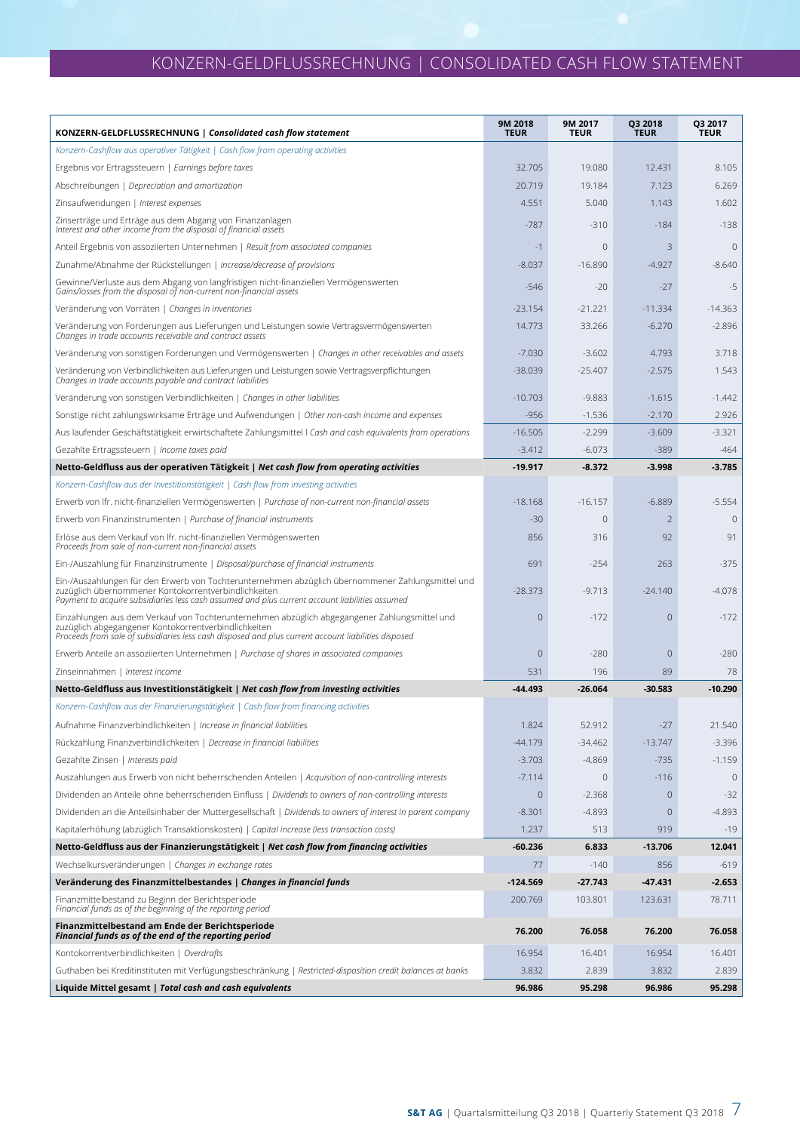# KONZERN-GELDFLUSSRECHNUNG | CONSOLIDATED CASH FLOW STATEMENT

| KONZERN-GELDFLUSSRECHNUNG   Consolidated cash flow statement                                                                                                                                                                                                | 9M 2018<br><b>TEUR</b> | 9M 2017<br><b>TEUR</b> | Q3 2018<br><b>TEUR</b> | Q3 2017<br><b>TEUR</b> |
|-------------------------------------------------------------------------------------------------------------------------------------------------------------------------------------------------------------------------------------------------------------|------------------------|------------------------|------------------------|------------------------|
| Konzern-Cashflow aus operativer Tätigkeit   Cash flow from operating activities                                                                                                                                                                             |                        |                        |                        |                        |
| Ergebnis vor Ertragssteuern   Earnings before taxes                                                                                                                                                                                                         | 32.705                 | 19.080                 | 12.431                 | 8.105                  |
| Abschreibungen   Depreciation and amortization                                                                                                                                                                                                              | 20.719                 | 19.184                 | 7.123                  | 6.269                  |
| Zinsaufwendungen   Interest expenses                                                                                                                                                                                                                        | 4.551                  | 5.040                  | 1.143                  | 1.602                  |
| Zinserträge und Erträge aus dem Abgang von Finanzanlagen<br>Interest and other income from the disposal of financial assets                                                                                                                                 | $-787$                 | $-310$                 | $-184$                 | $-138$                 |
| Anteil Ergebnis von assoziierten Unternehmen   Result from associated companies                                                                                                                                                                             | $-1$                   | 0                      | 3                      | $\mathbf{0}$           |
| Zunahme/Abnahme der Rückstellungen   Increase/decrease of provisions                                                                                                                                                                                        | $-8.037$               | $-16.890$              | $-4.927$               | $-8.640$               |
| Gewinne/Verluste aus dem Abgang von langfristigen nicht-finanziellen Vermögenswerten<br>Gains/losses from the disposal of non-current non-financial assets                                                                                                  | $-546$                 | $-20$                  | $-27$                  | $-5$                   |
| Veränderung von Vorräten   Changes in inventories                                                                                                                                                                                                           | $-23.154$              | $-21.221$              | $-11.334$              | $-14.363$              |
| Veränderung von Forderungen aus Lieferungen und Leistungen sowie Vertragsvermögenswerten<br>Changes in trade accounts receivable and contract assets                                                                                                        | 14.773                 | 33.266                 | $-6.270$               | $-2.896$               |
| Veränderung von sonstigen Forderungen und Vermögenswerten   Changes in other receivables and assets                                                                                                                                                         | $-7.030$               | $-3.602$               | 4.793                  | 3.718                  |
| Veränderung von Verbindlichkeiten aus Lieferungen und Leistungen sowie Vertragsverpflichtungen<br>Changes in trade accounts payable and contract liabilities                                                                                                | $-38.039$              | $-25.407$              | $-2.575$               | 1.543                  |
| Veränderung von sonstigen Verbindlichkeiten   Changes in other liabilities                                                                                                                                                                                  | $-10.703$              | $-9.883$               | $-1.615$               | $-1.442$               |
| Sonstige nicht zahlungswirksame Erträge und Aufwendungen   Other non-cash income and expenses                                                                                                                                                               | $-956$                 | $-1.536$               | $-2.170$               | 2.926                  |
| Aus laufender Geschäftstätigkeit erwirtschaftete Zahlungsmittel I Cash and cash equivalents from operations                                                                                                                                                 | $-16.505$              | $-2.299$               | $-3.609$               | $-3.321$               |
| Gezahlte Ertragssteuern   Income taxes paid                                                                                                                                                                                                                 | $-3.412$               | $-6.073$               | $-389$                 | $-464$                 |
| Netto-Geldfluss aus der operativen Tätigkeit   Net cash flow from operating activities                                                                                                                                                                      | $-19.917$              | $-8.372$               | $-3.998$               | $-3.785$               |
| Konzern-Cashflow aus der Investitionstätigkeit   Cash flow from investing activities                                                                                                                                                                        |                        |                        |                        |                        |
| Erwerb von Ifr. nicht-finanziellen Vermögenswerten   Purchase of non-current non-financial assets                                                                                                                                                           | $-18.168$              | $-16.157$              | $-6.889$               | $-5.554$               |
| Erwerb von Finanzinstrumenten   Purchase of financial instruments                                                                                                                                                                                           | $-30$                  | 0                      | $\overline{2}$         | $\mathbf{0}$           |
| Erlöse aus dem Verkauf von Ifr. nicht-finanziellen Vermögenswerten<br>Proceeds from sale of non-current non-financial assets                                                                                                                                | 856                    | 316                    | 92                     | 91                     |
| Ein-/Auszahlung für Finanzinstrumente   Disposal/purchase of financial instruments                                                                                                                                                                          | 691                    | $-254$                 | 263                    | $-375$                 |
| Ein-/Auszahlungen für den Erwerb von Tochterunternehmen abzüglich übernommener Zahlungsmittel und<br>zuzüglich übernommener Kontokorrentverbindlichkeiten<br>Payment to acquire subsidiaries less cash assumed and plus current account liabilities assumed | $-28.373$              | $-9.713$               | $-24.140$              | $-4.078$               |
| Einzahlungen aus dem Verkauf von Tochterunternehmen abzüglich abgegangener Zahlungsmittel und                                                                                                                                                               | $\mathbf{0}$           | $-172$                 | $\overline{0}$         | $-172$                 |
| zuzüglich abgegangener Kontokorrentverbindlichkeiten<br>Proceeds from sale of subsidiaries less cash disposed and plus current account liabilities disposed                                                                                                 |                        |                        |                        |                        |
| Erwerb Anteile an assoziierten Unternehmen   Purchase of shares in associated companies                                                                                                                                                                     | $\mathbf{0}$           | $-280$                 | 0                      | $-280$                 |
| Zinseinnahmen   Interest income                                                                                                                                                                                                                             | 531                    | 196                    | 89                     | 78                     |
| Netto-Geldfluss aus Investitionstätigkeit   Net cash flow from investing activities                                                                                                                                                                         | $-44.493$              | $-26.064$              | $-30.583$              | $-10.290$              |
| Konzern-Cashflow aus der Finanzierungstätigkeit   Cash flow from financing activities                                                                                                                                                                       |                        |                        |                        |                        |
| Aufnahme Finanzverbindlichkeiten   Increase in financial liabilities                                                                                                                                                                                        | 1.824                  | 52.912                 | $-27$                  | 21.540                 |
| Rückzahlung Finanzverbindlichkeiten   Decrease in financial liabilities                                                                                                                                                                                     | $-44.179$              | $-34.462$              | $-13.747$              | $-3.396$               |
| Gezahlte Zinsen   Interests paid                                                                                                                                                                                                                            | $-3.703$               | $-4.869$               | $-735$                 | $-1.159$               |
| Auszahlungen aus Erwerb von nicht beherrschenden Anteilen   Acquisition of non-controlling interests                                                                                                                                                        | $-7.114$               | 0                      | $-116$                 | $\mathbf 0$            |
| Dividenden an Anteile ohne beherrschenden Einfluss   Dividends to owners of non-controlling interests                                                                                                                                                       | $\mathbf{0}$           | $-2.368$               | $\overline{0}$         | $-32$                  |
| Dividenden an die Anteilsinhaber der Muttergesellschaft   Dividends to owners of interest in parent company                                                                                                                                                 | $-8.301$               | $-4.893$               | 0                      | $-4.893$               |
| Kapitalerhöhung (abzüglich Transaktionskosten)   Capital increase (less transaction costs)                                                                                                                                                                  | 1.237                  | 513                    | 919                    | $-19$                  |
| Netto-Geldfluss aus der Finanzierungstätigkeit   Net cash flow from financing activities                                                                                                                                                                    | $-60.236$              | 6.833                  | $-13.706$              | 12.041                 |
| Wechselkursveränderungen   Changes in exchange rates                                                                                                                                                                                                        | 77                     | $-140$                 | 856                    | $-619$                 |
| Veränderung des Finanzmittelbestandes   Changes in financial funds                                                                                                                                                                                          | -124.569               | $-27.743$              | -47.431                | $-2.653$               |
| Finanzmittelbestand zu Beginn der Berichtsperiode<br>Financial funds as of the beginning of the reporting period                                                                                                                                            | 200.769                | 103.801                | 123.631                | 78.711                 |
| Finanzmittelbestand am Ende der Berichtsperiode<br>Financial funds as of the end of the reporting period                                                                                                                                                    | 76.200                 | 76.058                 | 76.200                 | 76.058                 |
| Kontokorrentverbindlichkeiten   Overdrafts                                                                                                                                                                                                                  | 16.954                 | 16.401                 | 16.954                 | 16.401                 |
| Guthaben bei Kreditinstituten mit Verfügungsbeschränkung   Restricted-disposition credit balances at banks                                                                                                                                                  | 3.832                  | 2.839                  | 3.832                  | 2.839                  |
| Liquide Mittel gesamt   Total cash and cash equivalents                                                                                                                                                                                                     | 96.986                 | 95.298                 | 96.986                 | 95.298                 |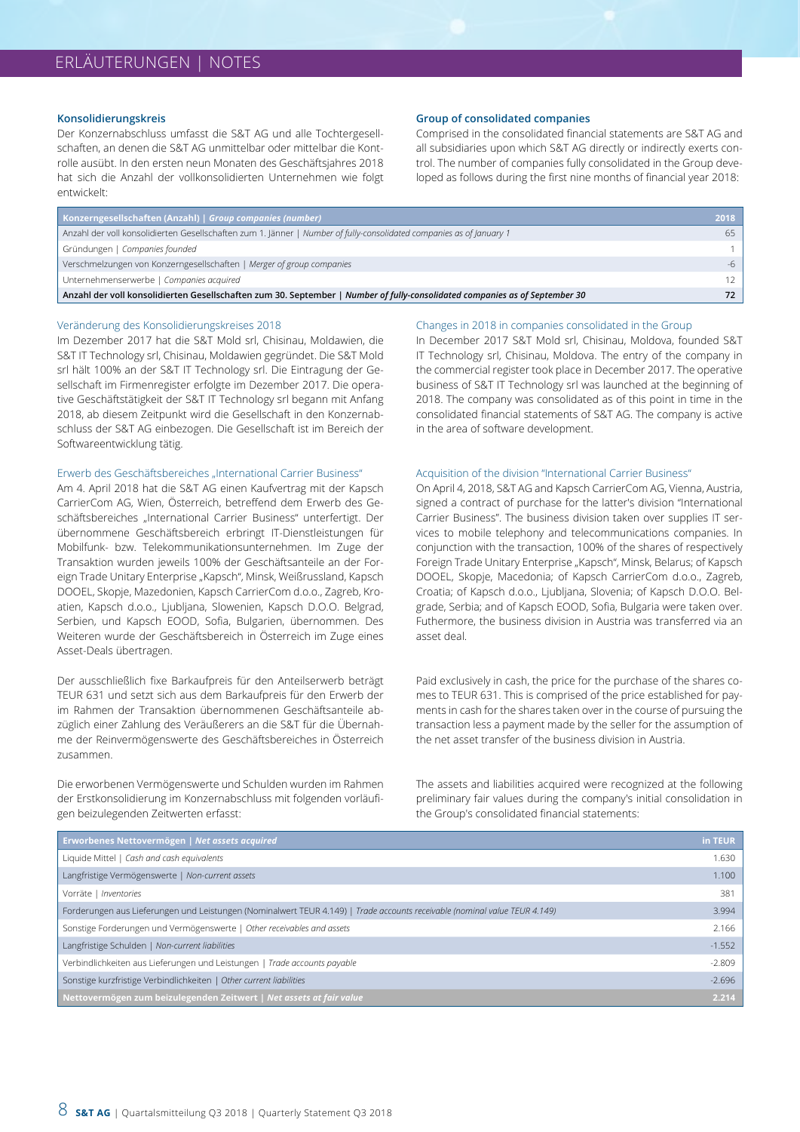#### **Konsolidierungskreis**

Der Konzernabschluss umfasst die S&T AG und alle Tochtergesellschaften, an denen die S&T AG unmittelbar oder mittelbar die Kontrolle ausübt. In den ersten neun Monaten des Geschäftsjahres 2018 hat sich die Anzahl der vollkonsolidierten Unternehmen wie folgt entwickelt:

#### **Group of consolidated companies**

Comprised in the consolidated financial statements are S&T AG and all subsidiaries upon which S&T AG directly or indirectly exerts control. The number of companies fully consolidated in the Group developed as follows during the first nine months of financial year 2018:

| Konzerngesellschaften (Anzahl)   Group companies (number)                                                                   | 2018 |
|-----------------------------------------------------------------------------------------------------------------------------|------|
| Anzahl der voll konsolidierten Gesellschaften zum 1. Jänner   Number of fully-consolidated companies as of January 1        | 65   |
| Gründungen   Companies founded                                                                                              |      |
| Verschmelzungen von Konzerngesellschaften   Merger of group companies                                                       | $-6$ |
| Unternehmenserwerbe   Companies acquired                                                                                    |      |
| Anzahl der voll konsolidierten Gesellschaften zum 30. September   Number of fully-consolidated companies as of September 30 |      |

#### Veränderung des Konsolidierungskreises 2018

Im Dezember 2017 hat die S&T Mold srl, Chisinau, Moldawien, die S&T IT Technology srl, Chisinau, Moldawien gegründet. Die S&T Mold srl hält 100% an der S&T IT Technology srl. Die Eintragung der Gesellschaft im Firmenregister erfolgte im Dezember 2017. Die operative Geschäftstätigkeit der S&T IT Technology srl begann mit Anfang 2018, ab diesem Zeitpunkt wird die Gesellschaft in den Konzernabschluss der S&T AG einbezogen. Die Gesellschaft ist im Bereich der Softwareentwicklung tätig.

#### Erwerb des Geschäftsbereiches "International Carrier Business"

Am 4. April 2018 hat die S&T AG einen Kaufvertrag mit der Kapsch CarrierCom AG, Wien, Österreich, betreffend dem Erwerb des Geschäftsbereiches "International Carrier Business" unterfertigt. Der übernommene Geschäftsbereich erbringt IT-Dienstleistungen für Mobilfunk- bzw. Telekommunikationsunternehmen. Im Zuge der Transaktion wurden jeweils 100% der Geschäftsanteile an der Foreign Trade Unitary Enterprise "Kapsch", Minsk, Weißrussland, Kapsch DOOEL, Skopje, Mazedonien, Kapsch CarrierCom d.o.o., Zagreb, Kroatien, Kapsch d.o.o., Ljubljana, Slowenien, Kapsch D.O.O. Belgrad, Serbien, und Kapsch EOOD, Sofia, Bulgarien, übernommen. Des Weiteren wurde der Geschäftsbereich in Österreich im Zuge eines Asset-Deals übertragen.

Der ausschließlich fixe Barkaufpreis für den Anteilserwerb beträgt TEUR 631 und setzt sich aus dem Barkaufpreis für den Erwerb der im Rahmen der Transaktion übernommenen Geschäftsanteile abzüglich einer Zahlung des Veräußerers an die S&T für die Übernahme der Reinvermögenswerte des Geschäftsbereiches in Österreich zusammen.

Die erworbenen Vermögenswerte und Schulden wurden im Rahmen der Erstkonsolidierung im Konzernabschluss mit folgenden vorläufigen beizulegenden Zeitwerten erfasst:

#### Changes in 2018 in companies consolidated in the Group

In December 2017 S&T Mold srl, Chisinau, Moldova, founded S&T IT Technology srl, Chisinau, Moldova. The entry of the company in the commercial register took place in December 2017. The operative business of S&T IT Technology srl was launched at the beginning of 2018. The company was consolidated as of this point in time in the consolidated financial statements of S&T AG. The company is active in the area of software development.

#### Acquisition of the division "International Carrier Business"

On April 4, 2018, S&T AG and Kapsch CarrierCom AG, Vienna, Austria, signed a contract of purchase for the latter's division "International Carrier Business". The business division taken over supplies IT services to mobile telephony and telecommunications companies. In conjunction with the transaction, 100% of the shares of respectively Foreign Trade Unitary Enterprise "Kapsch", Minsk, Belarus; of Kapsch DOOEL, Skopje, Macedonia; of Kapsch CarrierCom d.o.o., Zagreb, Croatia; of Kapsch d.o.o., Ljubljana, Slovenia; of Kapsch D.O.O. Belgrade, Serbia; and of Kapsch EOOD, Sofia, Bulgaria were taken over. Futhermore, the business division in Austria was transferred via an asset deal.

Paid exclusively in cash, the price for the purchase of the shares comes to TEUR 631. This is comprised of the price established for payments in cash for the shares taken over in the course of pursuing the transaction less a payment made by the seller for the assumption of the net asset transfer of the business division in Austria.

The assets and liabilities acquired were recognized at the following preliminary fair values during the company's initial consolidation in the Group's consolidated financial statements:

| <b>Erworbenes Nettovermögen   Net assets acquired</b>                                                                      | in TEUR  |
|----------------------------------------------------------------------------------------------------------------------------|----------|
| Liquide Mittel   Cash and cash equivalents                                                                                 | 1.630    |
| Langfristige Vermögenswerte   Non-current assets                                                                           | 1.100    |
| Vorräte   Inventories                                                                                                      | 381      |
| Forderungen aus Lieferungen und Leistungen (Nominalwert TEUR 4.149)   Trade accounts receivable (nominal value TEUR 4.149) | 3.994    |
| Sonstige Forderungen und Vermögenswerte   Other receivables and assets                                                     | 2.166    |
| Langfristige Schulden   Non-current liabilities                                                                            | $-1.552$ |
| Verbindlichkeiten aus Lieferungen und Leistungen   Trade accounts payable                                                  | $-2.809$ |
| Sonstige kurzfristige Verbindlichkeiten   Other current liabilities                                                        | $-2.696$ |
| Nettovermögen zum beizulegenden Zeitwert   Net assets at fair value                                                        | 2.214    |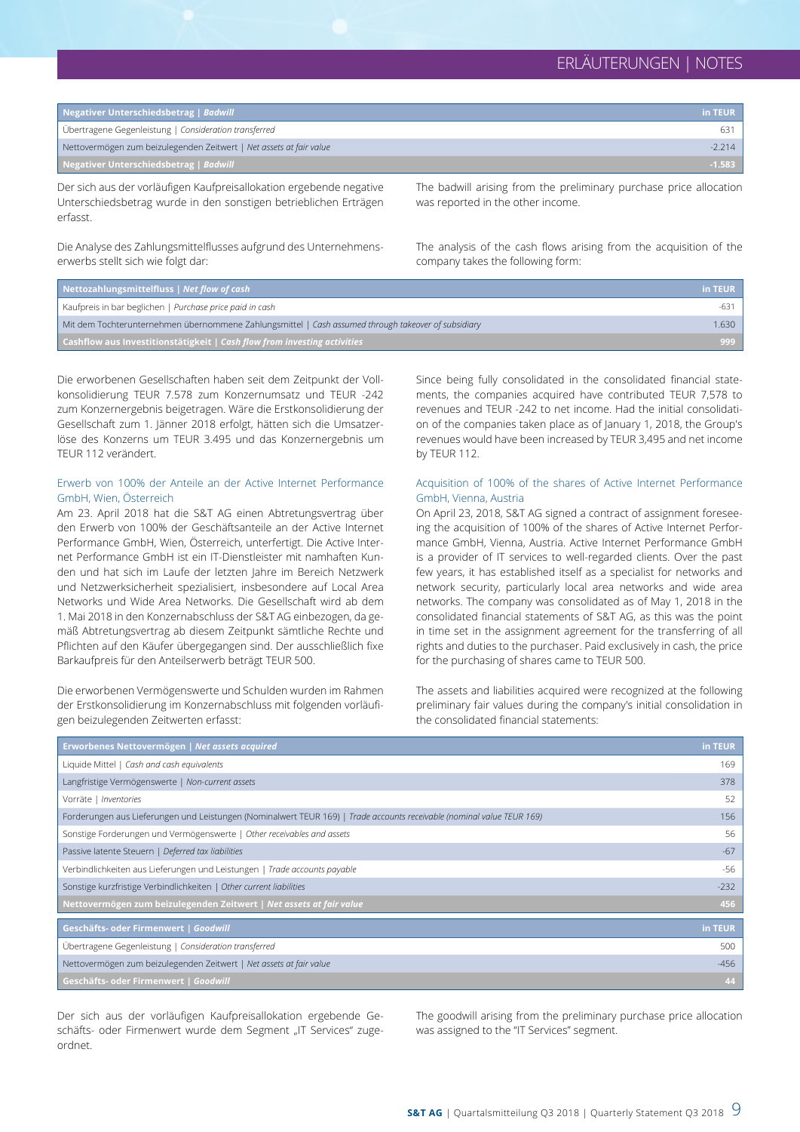# ERLÄUTERUNGEN | NOTES

| Negativer Unterschiedsbetrag   Badwill                              | in TEUR  |
|---------------------------------------------------------------------|----------|
| Ubertragene Gegenleistung   Consideration transferred               | 631      |
| Nettovermögen zum beizulegenden Zeitwert   Net assets at fair value | $-2214$  |
| Negativer Unterschiedsbetrag   Badwill                              | $-1.583$ |

Der sich aus der vorläufigen Kaufpreisallokation ergebende negative Unterschiedsbetrag wurde in den sonstigen betrieblichen Erträgen erfasst.

Die Analyse des Zahlungsmittelflusses aufgrund des Unternehmenserwerbs stellt sich wie folgt dar:

The badwill arising from the preliminary purchase price allocation was reported in the other income.

The analysis of the cash flows arising from the acquisition of the company takes the following form:

| Nettozahlungsmittelfluss   Net flow of cash                                                         | in TEUR |
|-----------------------------------------------------------------------------------------------------|---------|
| Kaufpreis in bar beglichen   Purchase price paid in cash                                            | -631    |
| Mit dem Tochterunternehmen übernommene Zahlungsmittel   Cash assumed through takeover of subsidiary | 1.630   |
| $\blacksquare$ Cashflow aus Investitionstätigkeit   Cash flow from investing activities             | 999     |

Die erworbenen Gesellschaften haben seit dem Zeitpunkt der Vollkonsolidierung TEUR 7.578 zum Konzernumsatz und TEUR -242 zum Konzernergebnis beigetragen. Wäre die Erstkonsolidierung der Gesellschaft zum 1. Jänner 2018 erfolgt, hätten sich die Umsatzerlöse des Konzerns um TEUR 3.495 und das Konzernergebnis um TEUR 112 verändert.

## Erwerb von 100% der Anteile an der Active Internet Performance GmbH, Wien, Österreich

Am 23. April 2018 hat die S&T AG einen Abtretungsvertrag über den Erwerb von 100% der Geschäftsanteile an der Active Internet Performance GmbH, Wien, Österreich, unterfertigt. Die Active Internet Performance GmbH ist ein IT-Dienstleister mit namhaften Kunden und hat sich im Laufe der letzten Jahre im Bereich Netzwerk und Netzwerksicherheit spezialisiert, insbesondere auf Local Area Networks und Wide Area Networks. Die Gesellschaft wird ab dem 1. Mai 2018 in den Konzernabschluss der S&T AG einbezogen, da gemäß Abtretungsvertrag ab diesem Zeitpunkt sämtliche Rechte und Pflichten auf den Käufer übergegangen sind. Der ausschließlich fixe Barkaufpreis für den Anteilserwerb beträgt TEUR 500.

Die erworbenen Vermögenswerte und Schulden wurden im Rahmen der Erstkonsolidierung im Konzernabschluss mit folgenden vorläufigen beizulegenden Zeitwerten erfasst:

Since being fully consolidated in the consolidated financial statements, the companies acquired have contributed TEUR 7,578 to revenues and TEUR -242 to net income. Had the initial consolidation of the companies taken place as of January 1, 2018, the Group's revenues would have been increased by TEUR 3,495 and net income by TEUR 112.

## Acquisition of 100% of the shares of Active Internet Performance GmbH, Vienna, Austria

On April 23, 2018, S&T AG signed a contract of assignment foreseeing the acquisition of 100% of the shares of Active Internet Performance GmbH, Vienna, Austria. Active Internet Performance GmbH is a provider of IT services to well-regarded clients. Over the past few years, it has established itself as a specialist for networks and network security, particularly local area networks and wide area networks. The company was consolidated as of May 1, 2018 in the consolidated financial statements of S&T AG, as this was the point in time set in the assignment agreement for the transferring of all rights and duties to the purchaser. Paid exclusively in cash, the price for the purchasing of shares came to TEUR 500.

The assets and liabilities acquired were recognized at the following preliminary fair values during the company's initial consolidation in the consolidated financial statements:

| Erworbenes Nettovermögen   Net assets acquired                                                                         | in TEUR |
|------------------------------------------------------------------------------------------------------------------------|---------|
| Liquide Mittel   Cash and cash equivalents                                                                             | 169     |
| Langfristige Vermögenswerte   Non-current assets                                                                       | 378     |
| Vorräte   Inventories                                                                                                  | 52      |
| Forderungen aus Lieferungen und Leistungen (Nominalwert TEUR 169)   Trade accounts receivable (nominal value TEUR 169) | 156     |
| Sonstige Forderungen und Vermögenswerte   Other receivables and assets                                                 | 56      |
| Passive latente Steuern   Deferred tax liabilities                                                                     | $-67$   |
| Verbindlichkeiten aus Lieferungen und Leistungen   Trade accounts payable                                              | -56     |
| Sonstige kurzfristige Verbindlichkeiten   Other current liabilities                                                    | $-232$  |
| Nettovermögen zum beizulegenden Zeitwert   Net assets at fair value                                                    | 456     |
| Geschäfts- oder Firmenwert   Goodwill                                                                                  | in TEUR |
| Übertragene Gegenleistung   Consideration transferred                                                                  | 500     |
| Nettovermögen zum beizulegenden Zeitwert   Net assets at fair value                                                    | $-456$  |
| Geschäfts- oder Firmenwert   Goodwill                                                                                  | 44      |

Der sich aus der vorläufigen Kaufpreisallokation ergebende Geschäfts- oder Firmenwert wurde dem Segment "IT Services" zugeordnet.

The goodwill arising from the preliminary purchase price allocation was assigned to the "IT Services" segment.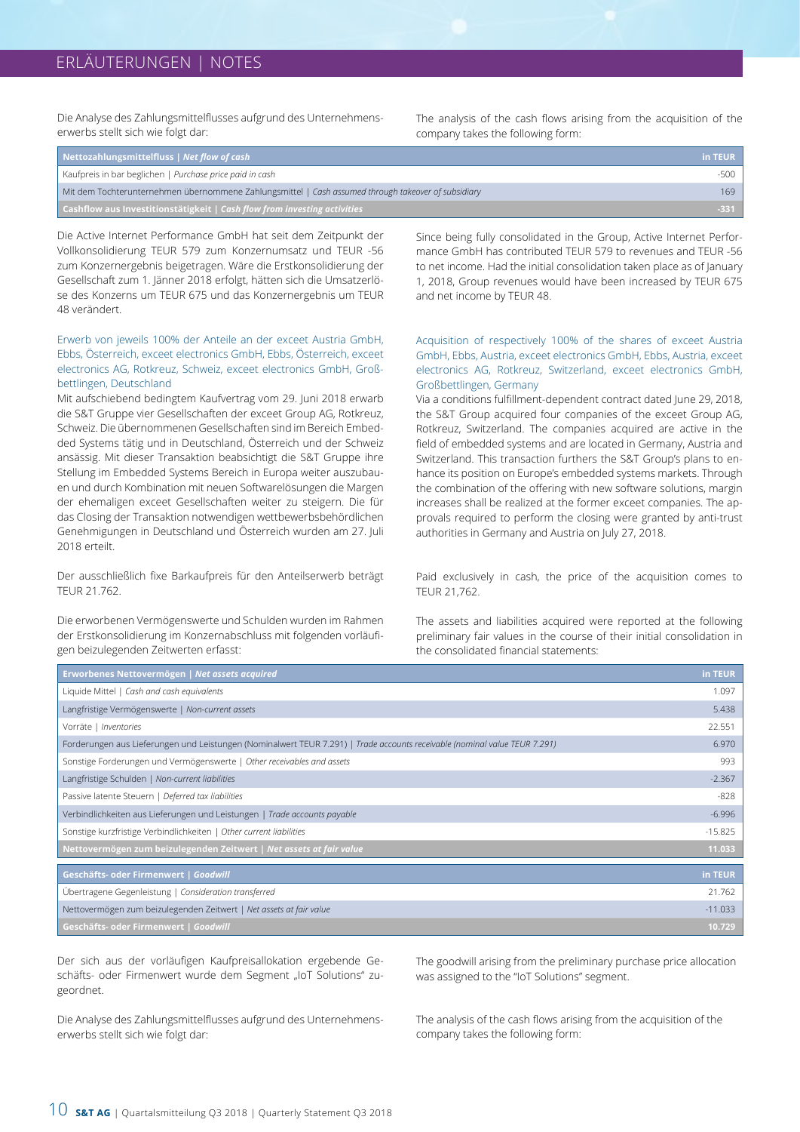| Die Analyse des Zahlungsmittelflusses aufgrund des Unternehmens- | The anal |
|------------------------------------------------------------------|----------|
| erwerbs stellt sich wie folgt dar:                               | company  |

ysis of the cash flows arising from the acquisition of the takes the following form:

| Nettozahlungsmittelfluss   Net flow of cash                                                         | in TEUR |
|-----------------------------------------------------------------------------------------------------|---------|
| Kaufpreis in bar beglichen   Purchase price paid in cash                                            | $-500$  |
| Mit dem Tochterunternehmen übernommene Zahlungsmittel   Cash assumed through takeover of subsidiary | 169     |
| Cashflow aus Investitionstätigkeit   Cash flow from investing activities                            | $-331$  |

Die Active Internet Performance GmbH hat seit dem Zeitpunkt der Vollkonsolidierung TEUR 579 zum Konzernumsatz und TEUR -56 zum Konzernergebnis beigetragen. Wäre die Erstkonsolidierung der Gesellschaft zum 1. Jänner 2018 erfolgt, hätten sich die Umsatzerlöse des Konzerns um TEUR 675 und das Konzernergebnis um TEUR 48 verändert.

### Erwerb von jeweils 100% der Anteile an der exceet Austria GmbH, Ebbs, Österreich, exceet electronics GmbH, Ebbs, Österreich, exceet electronics AG, Rotkreuz, Schweiz, exceet electronics GmbH, Großbettlingen, Deutschland

Mit aufschiebend bedingtem Kaufvertrag vom 29. Juni 2018 erwarb die S&T Gruppe vier Gesellschaften der exceet Group AG, Rotkreuz, Schweiz. Die übernommenen Gesellschaften sind im Bereich Embedded Systems tätig und in Deutschland, Österreich und der Schweiz ansässig. Mit dieser Transaktion beabsichtigt die S&T Gruppe ihre Stellung im Embedded Systems Bereich in Europa weiter auszubauen und durch Kombination mit neuen Softwarelösungen die Margen der ehemaligen exceet Gesellschaften weiter zu steigern. Die für das Closing der Transaktion notwendigen wettbewerbsbehördlichen Genehmigungen in Deutschland und Österreich wurden am 27. Juli 2018 erteilt.

Der ausschließlich fixe Barkaufpreis für den Anteilserwerb beträgt TEUR 21.762.

Die erworbenen Vermögenswerte und Schulden wurden im Rahmen der Erstkonsolidierung im Konzernabschluss mit folgenden vorläufigen beizulegenden Zeitwerten erfasst:

Since being fully consolidated in the Group, Active Internet Performance GmbH has contributed TEUR 579 to revenues and TEUR -56 to net income. Had the initial consolidation taken place as of January 1, 2018, Group revenues would have been increased by TEUR 675 and net income by TEUR 48.

Acquisition of respectively 100% of the shares of exceet Austria GmbH, Ebbs, Austria, exceet electronics GmbH, Ebbs, Austria, exceet electronics AG, Rotkreuz, Switzerland, exceet electronics GmbH, Großbettlingen, Germany

Via a conditions fulfillment-dependent contract dated June 29, 2018, the S&T Group acquired four companies of the exceet Group AG, Rotkreuz, Switzerland. The companies acquired are active in the field of embedded systems and are located in Germany, Austria and Switzerland. This transaction furthers the S&T Group's plans to enhance its position on Europe's embedded systems markets. Through the combination of the offering with new software solutions, margin increases shall be realized at the former exceet companies. The approvals required to perform the closing were granted by anti-trust authorities in Germany and Austria on July 27, 2018.

Paid exclusively in cash, the price of the acquisition comes to TEUR 21,762.

The assets and liabilities acquired were reported at the following preliminary fair values in the course of their initial consolidation in the consolidated financial statements:

| Erworbenes Nettovermögen   Net assets acquired                                                                             | in TEUR   |
|----------------------------------------------------------------------------------------------------------------------------|-----------|
| Liquide Mittel   Cash and cash equivalents                                                                                 | 1.097     |
| Langfristige Vermögenswerte   Non-current assets                                                                           | 5.438     |
| Vorräte   Inventories                                                                                                      | 22.551    |
| Forderungen aus Lieferungen und Leistungen (Nominalwert TEUR 7.291)   Trade accounts receivable (nominal value TEUR 7.291) | 6.970     |
| Sonstige Forderungen und Vermögenswerte   Other receivables and assets                                                     | 993       |
| Langfristige Schulden   Non-current liabilities                                                                            | $-2.367$  |
| Passive latente Steuern   Deferred tax liabilities                                                                         | $-828$    |
| Verbindlichkeiten aus Lieferungen und Leistungen   Trade accounts payable                                                  | $-6.996$  |
| Sonstige kurzfristige Verbindlichkeiten   Other current liabilities                                                        | $-15.825$ |
| Nettovermögen zum beizulegenden Zeitwert   Net assets at fair value                                                        | 11.033    |
|                                                                                                                            |           |
| Geschäfts- oder Firmenwert   Goodwill                                                                                      | in TEUR   |
| Übertragene Gegenleistung   Consideration transferred                                                                      | 21.762    |
| Nettovermögen zum beizulegenden Zeitwert   Net assets at fair value                                                        | $-11.033$ |
| Geschäfts- oder Firmenwert   Goodwill                                                                                      | 10.729    |

Der sich aus der vorläufigen Kaufpreisallokation ergebende Geschäfts- oder Firmenwert wurde dem Segment "IoT Solutions" zugeordnet.

Die Analyse des Zahlungsmittelflusses aufgrund des Unternehmenserwerbs stellt sich wie folgt dar:

The goodwill arising from the preliminary purchase price allocation was assigned to the "IoT Solutions" segment.

The analysis of the cash flows arising from the acquisition of the company takes the following form: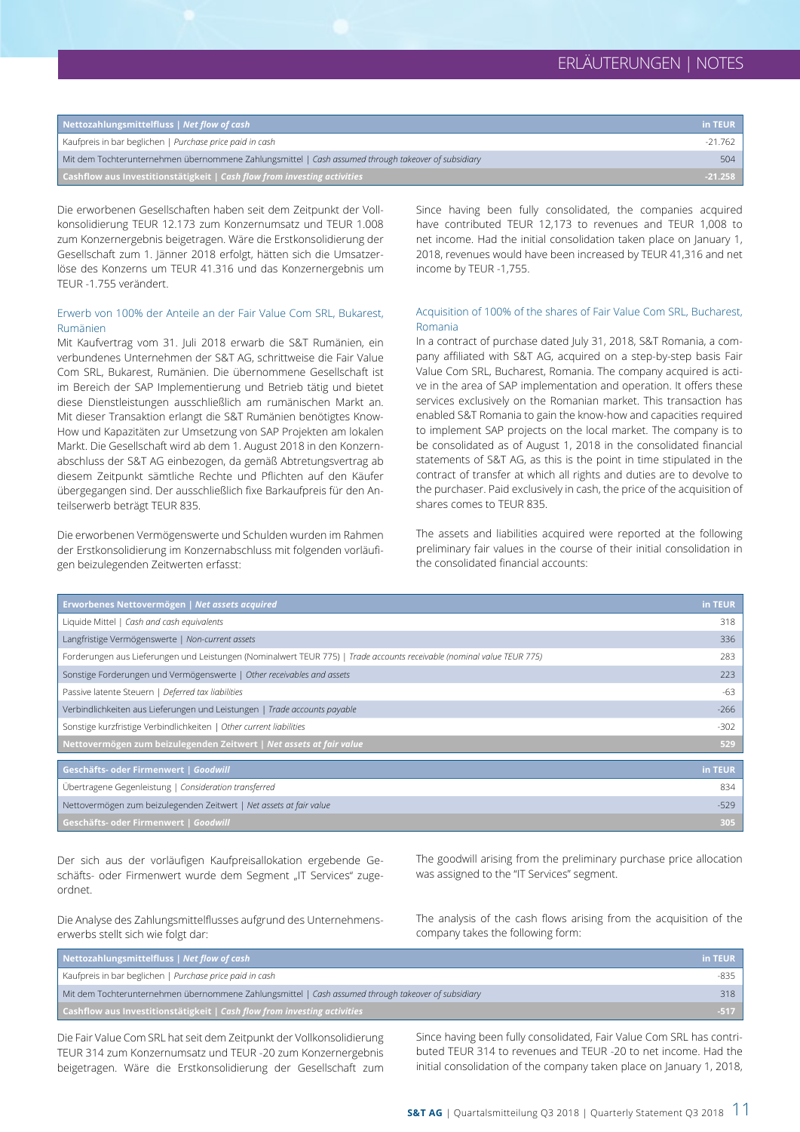# ERLÄUTERUNGEN | NOTES

| Nettozahlungsmittelfluss   Net flow of cash                                                         | in TEUR   |
|-----------------------------------------------------------------------------------------------------|-----------|
| Kaufpreis in bar beglichen   Purchase price paid in cash                                            | $-21.762$ |
| Mit dem Tochterunternehmen übernommene Zahlungsmittel   Cash assumed through takeover of subsidiary | 504       |
| Cashflow aus Investitionstätigkeit $\sqrt{ }$ Cash flow from investing activities                   | $-21.258$ |

Die erworbenen Gesellschaften haben seit dem Zeitpunkt der Vollkonsolidierung TEUR 12.173 zum Konzernumsatz und TEUR 1.008 zum Konzernergebnis beigetragen. Wäre die Erstkonsolidierung der Gesellschaft zum 1. Jänner 2018 erfolgt, hätten sich die Umsatzerlöse des Konzerns um TEUR 41.316 und das Konzernergebnis um TEUR -1.755 verändert.

#### Erwerb von 100% der Anteile an der Fair Value Com SRL, Bukarest, Rumänien

Mit Kaufvertrag vom 31. Juli 2018 erwarb die S&T Rumänien, ein verbundenes Unternehmen der S&T AG, schrittweise die Fair Value Com SRL, Bukarest, Rumänien. Die übernommene Gesellschaft ist im Bereich der SAP Implementierung und Betrieb tätig und bietet diese Dienstleistungen ausschließlich am rumänischen Markt an. Mit dieser Transaktion erlangt die S&T Rumänien benötigtes Know-How und Kapazitäten zur Umsetzung von SAP Projekten am lokalen Markt. Die Gesellschaft wird ab dem 1. August 2018 in den Konzernabschluss der S&T AG einbezogen, da gemäß Abtretungsvertrag ab diesem Zeitpunkt sämtliche Rechte und Pflichten auf den Käufer übergegangen sind. Der ausschließlich fixe Barkaufpreis für den Anteilserwerb beträgt TEUR 835.

Die erworbenen Vermögenswerte und Schulden wurden im Rahmen der Erstkonsolidierung im Konzernabschluss mit folgenden vorläufigen beizulegenden Zeitwerten erfasst:

Since having been fully consolidated, the companies acquired have contributed TEUR 12,173 to revenues and TEUR 1,008 to net income. Had the initial consolidation taken place on January 1, 2018, revenues would have been increased by TEUR 41,316 and net income by TEUR -1,755.

#### Acquisition of 100% of the shares of Fair Value Com SRL, Bucharest, Romania

In a contract of purchase dated July 31, 2018, S&T Romania, a company affiliated with S&T AG, acquired on a step-by-step basis Fair Value Com SRL, Bucharest, Romania. The company acquired is active in the area of SAP implementation and operation. It offers these services exclusively on the Romanian market. This transaction has enabled S&T Romania to gain the know-how and capacities required to implement SAP projects on the local market. The company is to be consolidated as of August 1, 2018 in the consolidated financial statements of S&T AG, as this is the point in time stipulated in the contract of transfer at which all rights and duties are to devolve to the purchaser. Paid exclusively in cash, the price of the acquisition of shares comes to TEUR 835.

The assets and liabilities acquired were reported at the following preliminary fair values in the course of their initial consolidation in the consolidated financial accounts:

| Erworbenes Nettovermögen   Net assets acquired                                                                         | in TEUR |
|------------------------------------------------------------------------------------------------------------------------|---------|
| Liquide Mittel   Cash and cash equivalents                                                                             | 318     |
| Langfristige Vermögenswerte   Non-current assets                                                                       | 336     |
| Forderungen aus Lieferungen und Leistungen (Nominalwert TEUR 775)   Trade accounts receivable (nominal value TEUR 775) | 283     |
| Sonstige Forderungen und Vermögenswerte   Other receivables and assets                                                 | 223     |
| Passive latente Steuern   Deferred tax liabilities                                                                     | -63     |
| Verbindlichkeiten aus Lieferungen und Leistungen   Trade accounts payable                                              | $-266$  |
| Sonstige kurzfristige Verbindlichkeiten   Other current liabilities                                                    | $-302$  |
| Nettovermögen zum beizulegenden Zeitwert   Net assets at fair value                                                    | 529     |
| Geschäfts- oder Firmenwert   Goodwill                                                                                  | in TEUR |
| Übertragene Gegenleistung   Consideration transferred                                                                  | 834     |
| Nettovermögen zum beizulegenden Zeitwert   Net assets at fair value                                                    | $-529$  |
| Geschäfts- oder Firmenwert   Goodwill                                                                                  | 305     |

Der sich aus der vorläufigen Kaufpreisallokation ergebende Geschäfts- oder Firmenwert wurde dem Segment "IT Services" zugeordnet.

Die Analyse des Zahlungsmittelflusses aufgrund des Unternehmenserwerbs stellt sich wie folgt dar:

The goodwill arising from the preliminary purchase price allocation was assigned to the "IT Services" segment.

The analysis of the cash flows arising from the acquisition of the company takes the following form:

| Nettozahlungsmittelfluss   Net flow of cash                                                         | in TEUR |
|-----------------------------------------------------------------------------------------------------|---------|
| Kaufpreis in bar beglichen   Purchase price paid in cash                                            | -835    |
| Mit dem Tochterunternehmen übernommene Zahlungsmittel   Cash assumed through takeover of subsidiary | 318     |
| Cashflow aus Investitionstätigkeit   Cash flow from investing activities                            | $-517$  |

Die Fair Value Com SRL hat seit dem Zeitpunkt der Vollkonsolidierung TEUR 314 zum Konzernumsatz und TEUR -20 zum Konzernergebnis beigetragen. Wäre die Erstkonsolidierung der Gesellschaft zum

Since having been fully consolidated, Fair Value Com SRL has contributed TEUR 314 to revenues and TEUR -20 to net income. Had the initial consolidation of the company taken place on January 1, 2018,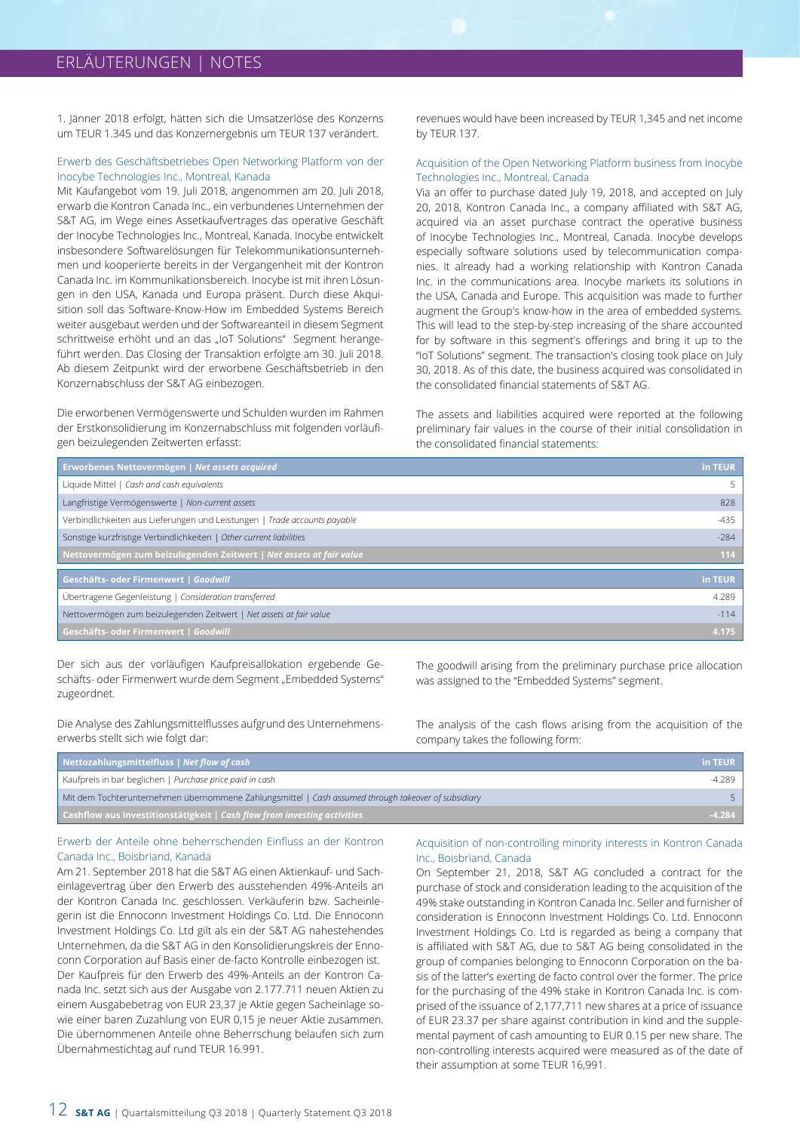1. Jänner 2018 erfolgt, hätten sich die Umsatzerlöse des Konzerns um TEUR 1.345 und das Konzernergebnis um TEUR 137 verändert.

### Erwerb des Geschäftsbetriebes Open Networking Platform von der Inocybe Technologies Inc., Montreal, Kanada

Mit Kaufangebot vom 19. Juli 2018, angenommen am 20. Juli 2018, erwarb die Kontron Canada Inc., ein verbundenes Unternehmen der S&T AG, im Wege eines Assetkaufvertrages das operative Geschäft der Inocybe Technologies Inc., Montreal, Kanada. Inocybe entwickelt insbesondere Softwarelösungen für Telekommunikationsunternehmen und kooperierte bereits in der Vergangenheit mit der Kontron Canada Inc. im Kommunikationsbereich. Inocybe ist mit ihren Lösungen in den USA, Kanada und Europa präsent. Durch diese Akquisition soll das Software-Know-How im Embedded Systems Bereich weiter ausgebaut werden und der Softwareanteil in diesem Segment schrittweise erhöht und an das "IoT Solutions" Segment herangeführt werden. Das Closing der Transaktion erfolgte am 30. Juli 2018. Ab diesem Zeitpunkt wird der erworbene Geschäftsbetrieb in den Konzernabschluss der S&T AG einbezogen.

Die erworbenen Vermögenswerte und Schulden wurden im Rahmen der Erstkonsolidierung im Konzernabschluss mit folgenden vorläufigen beizulegenden Zeitwerten erfasst:

revenues would have been increased by TEUR 1,345 and net income by TEUR 137.

### Acquisition of the Open Networking Platform business from Inocybe Technologies Inc., Montreal, Canada

Via an offer to purchase dated July 19, 2018, and accepted on July 20, 2018, Kontron Canada Inc., a company affiliated with S&T AG, acquired via an asset purchase contract the operative business of Inocybe Technologies Inc., Montreal, Canada. Inocybe develops especially software solutions used by telecommunication companies. It already had a working relationship with Kontron Canada Inc. in the communications area. Inocybe markets its solutions in the USA, Canada and Europe. This acquisition was made to further augment the Group's know-how in the area of embedded systems. This will lead to the step-by-step increasing of the share accounted for by software in this segment's offerings and bring it up to the "IoT Solutions" segment. The transaction's closing took place on July 30, 2018. As of this date, the business acquired was consolidated in the consolidated financial statements of S&T AG.

The assets and liabilities acquired were reported at the following preliminary fair values in the course of their initial consolidation in the consolidated financial statements:

| Erworbenes Nettovermögen   Net assets acquired                            | in TEUR |
|---------------------------------------------------------------------------|---------|
| Liquide Mittel   Cash and cash equivalents                                | 5       |
| Langfristige Vermögenswerte   Non-current assets                          | 828     |
| Verbindlichkeiten aus Lieferungen und Leistungen   Trade accounts payable | $-435$  |
| Sonstige kurzfristige Verbindlichkeiten   Other current liabilities       | $-284$  |
| Nettovermögen zum beizulegenden Zeitwert   Net assets at fair value       | 114     |
| Geschäfts- oder Firmenwert   Goodwill                                     | in TEUR |
| Übertragene Gegenleistung   Consideration transferred                     | 4.289   |
| Nettovermögen zum beizulegenden Zeitwert   Net assets at fair value       | $-114$  |
| Geschäfts- oder Firmenwert   Goodwill                                     | 4.175   |

Der sich aus der vorläufigen Kaufpreisallokation ergebende Geschäfts- oder Firmenwert wurde dem Segment "Embedded Systems" zugeordnet.

Die Analyse des Zahlungsmittelflusses aufgrund des Unternehmenserwerbs stellt sich wie folgt dar:

The goodwill arising from the preliminary purchase price allocation was assigned to the "Embedded Systems" segment.

The analysis of the cash flows arising from the acquisition of the company takes the following form:

| Nettozahlungsmittelfluss   Net flow of cash                                                         | in TEUR  |
|-----------------------------------------------------------------------------------------------------|----------|
| Kaufpreis in bar beglichen   Purchase price paid in cash                                            | -4.289   |
| Mit dem Tochterunternehmen übernommene Zahlungsmittel   Cash assumed through takeover of subsidiary |          |
| Cashflow aus Investitionstätigkeit   Cash flow from investing activities                            | $-4.284$ |

## Erwerb der Anteile ohne beherrschenden Einfluss an der Kontron Canada Inc., Boisbriand, Kanada

Am 21. September 2018 hat die S&T AG einen Aktienkauf- und Sacheinlagevertrag über den Erwerb des ausstehenden 49%-Anteils an der Kontron Canada Inc. geschlossen. Verkäuferin bzw. Sacheinlegerin ist die Ennoconn Investment Holdings Co. Ltd. Die Ennoconn Investment Holdings Co. Ltd gilt als ein der S&T AG nahestehendes Unternehmen, da die S&T AG in den Konsolidierungskreis der Ennoconn Corporation auf Basis einer de-facto Kontrolle einbezogen ist. Der Kaufpreis für den Erwerb des 49%-Anteils an der Kontron Canada Inc. setzt sich aus der Ausgabe von 2.177.711 neuen Aktien zu einem Ausgabebetrag von EUR 23,37 je Aktie gegen Sacheinlage sowie einer baren Zuzahlung von EUR 0,15 je neuer Aktie zusammen. Die übernommenen Anteile ohne Beherrschung belaufen sich zum Übernahmestichtag auf rund TEUR 16.991.

#### Acquisition of non-controlling minority interests in Kontron Canada Inc., Boisbriand, Canada

On September 21, 2018, S&T AG concluded a contract for the purchase of stock and consideration leading to the acquisition of the 49% stake outstanding in Kontron Canada Inc. Seller and furnisher of consideration is Ennoconn Investment Holdings Co. Ltd. Ennoconn Investment Holdings Co. Ltd is regarded as being a company that is affiliated with S&T AG, due to S&T AG being consolidated in the group of companies belonging to Ennoconn Corporation on the basis of the latter's exerting de facto control over the former. The price for the purchasing of the 49% stake in Kontron Canada Inc. is comprised of the issuance of 2,177,711 new shares at a price of issuance of EUR 23.37 per share against contribution in kind and the supplemental payment of cash amounting to EUR 0.15 per new share. The non-controlling interests acquired were measured as of the date of their assumption at some TEUR 16,991.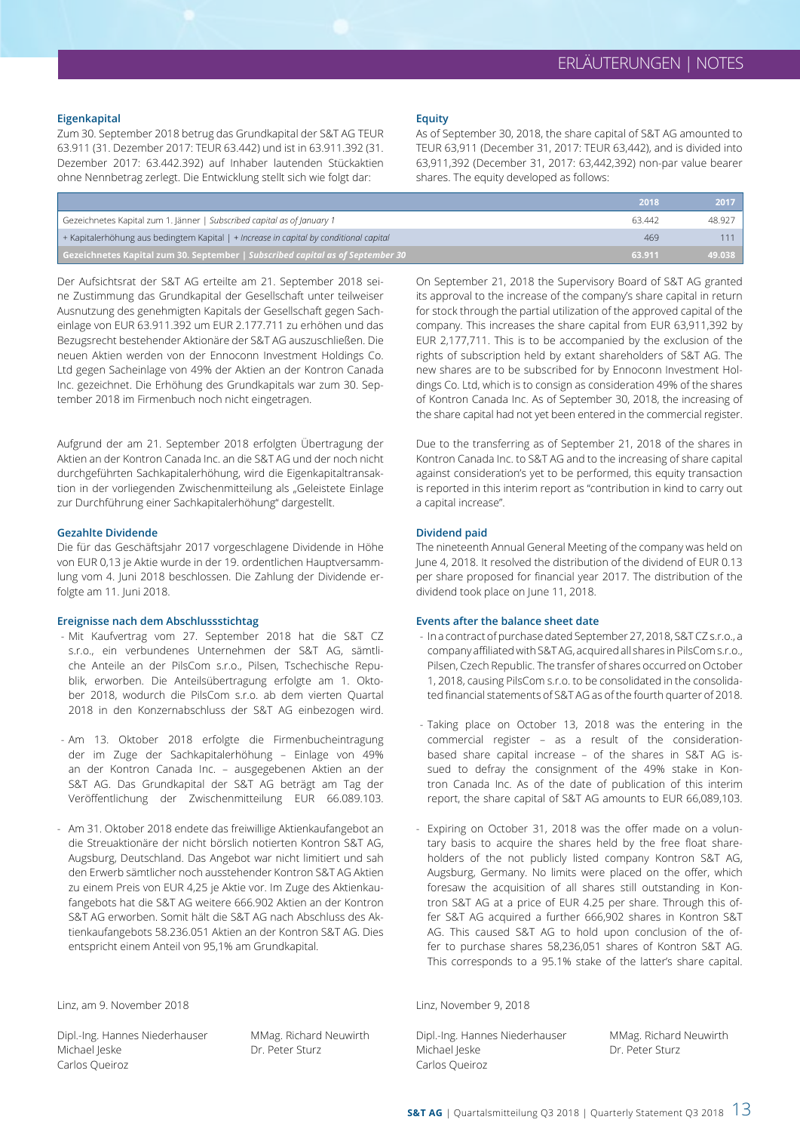#### **Eigenkapital**

Zum 30. September 2018 betrug das Grundkapital der S&T AG TEUR 63.911 (31. Dezember 2017: TEUR 63.442) und ist in 63.911.392 (31. Dezember 2017: 63.442.392) auf Inhaber lautenden Stückaktien ohne Nennbetrag zerlegt. Die Entwicklung stellt sich wie folgt dar:

#### **Equity**

As of September 30, 2018, the share capital of S&T AG amounted to TEUR 63,911 (December 31, 2017: TEUR 63,442), and is divided into 63,911,392 (December 31, 2017: 63,442,392) non-par value bearer shares. The equity developed as follows:

On September 21, 2018 the Supervisory Board of S&T AG granted its approval to the increase of the company's share capital in return for stock through the partial utilization of the approved capital of the company. This increases the share capital from EUR 63,911,392 by EUR 2,177,711. This is to be accompanied by the exclusion of the rights of subscription held by extant shareholders of S&T AG. The new shares are to be subscribed for by Ennoconn Investment Holdings Co. Ltd, which is to consign as consideration 49% of the shares of Kontron Canada Inc. As of September 30, 2018, the increasing of the share capital had not yet been entered in the commercial register.

|                                                                                        | 2018   | 2017   |
|----------------------------------------------------------------------------------------|--------|--------|
| Gezeichnetes Kapital zum 1. Jänner   Subscribed capital as of January 1                | 63.442 | 48.927 |
| + Kapitalerhöhung aus bedingtem Kapital   + Increase in capital by conditional capital | 469    |        |
| Gezeichnetes Kapital zum 30. September   Subscribed capital as of September 30         | 63.911 | 49.038 |

Der Aufsichtsrat der S&T AG erteilte am 21. September 2018 seine Zustimmung das Grundkapital der Gesellschaft unter teilweiser Ausnutzung des genehmigten Kapitals der Gesellschaft gegen Sacheinlage von EUR 63.911.392 um EUR 2.177.711 zu erhöhen und das Bezugsrecht bestehender Aktionäre der S&T AG auszuschließen. Die neuen Aktien werden von der Ennoconn Investment Holdings Co. Ltd gegen Sacheinlage von 49% der Aktien an der Kontron Canada Inc. gezeichnet. Die Erhöhung des Grundkapitals war zum 30. September 2018 im Firmenbuch noch nicht eingetragen.

Aufgrund der am 21. September 2018 erfolgten Übertragung der Aktien an der Kontron Canada Inc. an die S&T AG und der noch nicht durchgeführten Sachkapitalerhöhung, wird die Eigenkapitaltransaktion in der vorliegenden Zwischenmitteilung als "Geleistete Einlage zur Durchführung einer Sachkapitalerhöhung" dargestellt.

#### **Gezahlte Dividende**

Die für das Geschäftsjahr 2017 vorgeschlagene Dividende in Höhe von EUR 0,13 je Aktie wurde in der 19. ordentlichen Hauptversammlung vom 4. Juni 2018 beschlossen. Die Zahlung der Dividende erfolgte am 11. Juni 2018.

#### **Ereignisse nach dem Abschlussstichtag**

- Mit Kaufvertrag vom 27. September 2018 hat die S&T CZ s.r.o., ein verbundenes Unternehmen der S&T AG, sämtliche Anteile an der PilsCom s.r.o., Pilsen, Tschechische Republik, erworben. Die Anteilsübertragung erfolgte am 1. Oktober 2018, wodurch die PilsCom s.r.o. ab dem vierten Quartal 2018 in den Konzernabschluss der S&T AG einbezogen wird.
- Am 13. Oktober 2018 erfolgte die Firmenbucheintragung der im Zuge der Sachkapitalerhöhung – Einlage von 49% an der Kontron Canada Inc. – ausgegebenen Aktien an der S&T AG. Das Grundkapital der S&T AG beträgt am Tag der Veröffentlichung der Zwischenmitteilung EUR 66.089.103.
- Am 31. Oktober 2018 endete das freiwillige Aktienkaufangebot an die Streuaktionäre der nicht börslich notierten Kontron S&T AG, Augsburg, Deutschland. Das Angebot war nicht limitiert und sah den Erwerb sämtlicher noch ausstehender Kontron S&T AG Aktien zu einem Preis von EUR 4,25 je Aktie vor. Im Zuge des Aktienkaufangebots hat die S&T AG weitere 666.902 Aktien an der Kontron S&T AG erworben. Somit hält die S&T AG nach Abschluss des Aktienkaufangebots 58.236.051 Aktien an der Kontron S&T AG. Dies entspricht einem Anteil von 95,1% am Grundkapital.

against consideration's yet to be performed, this equity transaction is reported in this interim report as "contribution in kind to carry out a capital increase". **Dividend paid** The nineteenth Annual General Meeting of the company was held on

June 4, 2018. It resolved the distribution of the dividend of EUR 0.13 per share proposed for financial year 2017. The distribution of the dividend took place on June 11, 2018.

Due to the transferring as of September 21, 2018 of the shares in Kontron Canada Inc. to S&T AG and to the increasing of share capital

#### **Events after the balance sheet date**

- In a contract of purchase dated September 27, 2018, S&T CZ s.r.o., a company affiliated with S&T AG, acquired all shares in PilsCom s.r.o., Pilsen, Czech Republic. The transfer of shares occurred on October 1, 2018, causing PilsCom s.r.o. to be consolidated in the consolidated financial statements of S&T AG as of the fourth quarter of 2018.
- Taking place on October 13, 2018 was the entering in the commercial register – as a result of the considerationbased share capital increase – of the shares in S&T AG issued to defray the consignment of the 49% stake in Kontron Canada Inc. As of the date of publication of this interim report, the share capital of S&T AG amounts to EUR 66,089,103.
- Expiring on October 31, 2018 was the offer made on a voluntary basis to acquire the shares held by the free float shareholders of the not publicly listed company Kontron S&T AG, Augsburg, Germany. No limits were placed on the offer, which foresaw the acquisition of all shares still outstanding in Kontron S&T AG at a price of EUR 4.25 per share. Through this offer S&T AG acquired a further 666,902 shares in Kontron S&T AG. This caused S&T AG to hold upon conclusion of the offer to purchase shares 58,236,051 shares of Kontron S&T AG. This corresponds to a 95.1% stake of the latter's share capital.

Linz, November 9, 2018

Dipl.-Ing. Hannes Niederhauser MMag. Richard Neuwirth Michael Jeske Dr. Peter Sturz Carlos Queiroz

Linz, am 9. November 2018

Dipl.-Ing. Hannes Niederhauser MMag. Richard Neuwirth Michael Jeske Dr. Peter Sturz Carlos Queiroz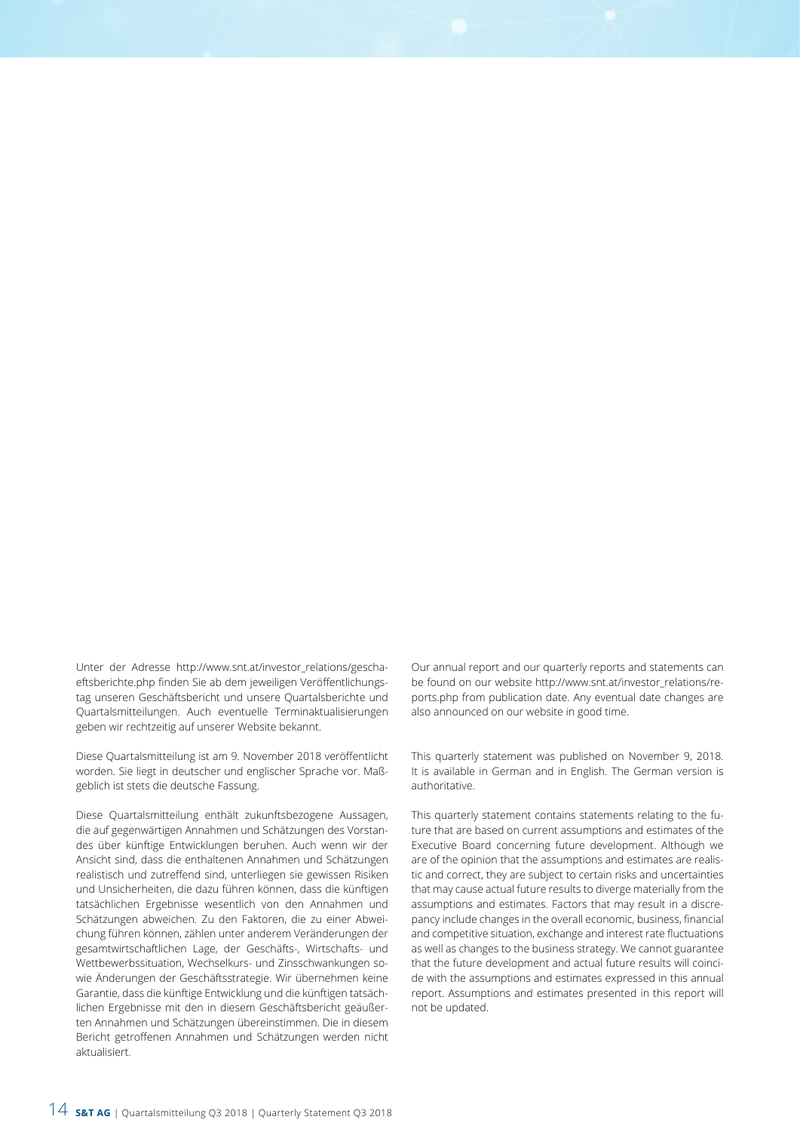Unter der Adresse http://www.snt.at/investor\_relations/geschaeftsberichte.php finden Sie ab dem jeweiligen Veröffentlichungstag unseren Geschäftsbericht und unsere Quartalsberichte und Quartalsmitteilungen. Auch eventuelle Terminaktualisierungen geben wir rechtzeitig auf unserer Website bekannt.

Diese Quartalsmitteilung ist am 9. November 2018 veröffentlicht worden. Sie liegt in deutscher und englischer Sprache vor. Maßgeblich ist stets die deutsche Fassung.

Diese Quartalsmitteilung enthält zukunftsbezogene Aussagen, die auf gegenwärtigen Annahmen und Schätzungen des Vorstandes über künftige Entwicklungen beruhen. Auch wenn wir der Ansicht sind, dass die enthaltenen Annahmen und Schätzungen realistisch und zutreffend sind, unterliegen sie gewissen Risiken und Unsicherheiten, die dazu führen können, dass die künftigen tatsächlichen Ergebnisse wesentlich von den Annahmen und Schätzungen abweichen. Zu den Faktoren, die zu einer Abweichung führen können, zählen unter anderem Veränderungen der gesamtwirtschaftlichen Lage, der Geschäfts-, Wirtschafts- und Wettbewerbssituation, Wechselkurs- und Zinsschwankungen sowie Änderungen der Geschäftsstrategie. Wir übernehmen keine Garantie, dass die künftige Entwicklung und die künftigen tatsächlichen Ergebnisse mit den in diesem Geschäftsbericht geäußerten Annahmen und Schätzungen übereinstimmen. Die in diesem Bericht getroffenen Annahmen und Schätzungen werden nicht aktualisiert.

Our annual report and our quarterly reports and statements can be found on our website http://www.snt.at/investor\_relations/reports.php from publication date. Any eventual date changes are also announced on our website in good time.

This quarterly statement was published on November 9, 2018. It is available in German and in English. The German version is authoritative.

This quarterly statement contains statements relating to the future that are based on current assumptions and estimates of the Executive Board concerning future development. Although we are of the opinion that the assumptions and estimates are realistic and correct, they are subject to certain risks and uncertainties that may cause actual future results to diverge materially from the assumptions and estimates. Factors that may result in a discrepancy include changes in the overall economic, business, financial and competitive situation, exchange and interest rate fluctuations as well as changes to the business strategy. We cannot guarantee that the future development and actual future results will coincide with the assumptions and estimates expressed in this annual report. Assumptions and estimates presented in this report will not be updated.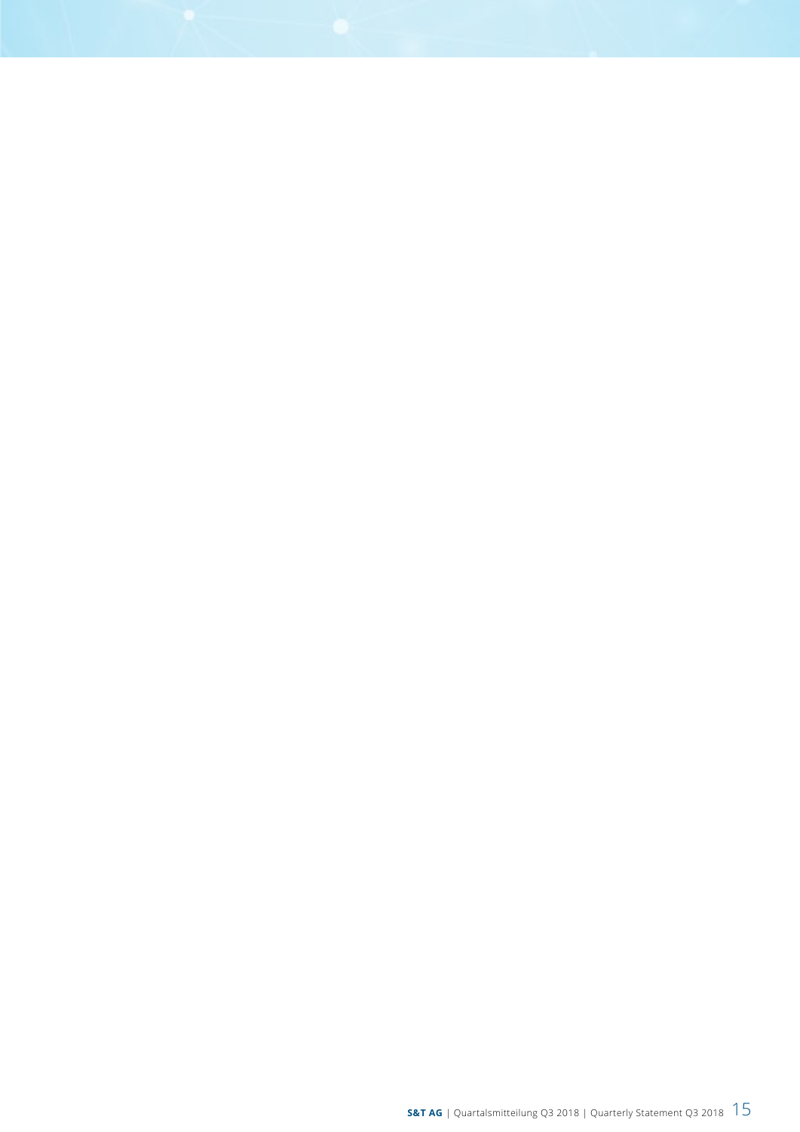**S&T AG** | Quartalsmitteilung Q3 2018 | Quarterly Statement Q3 2018 15